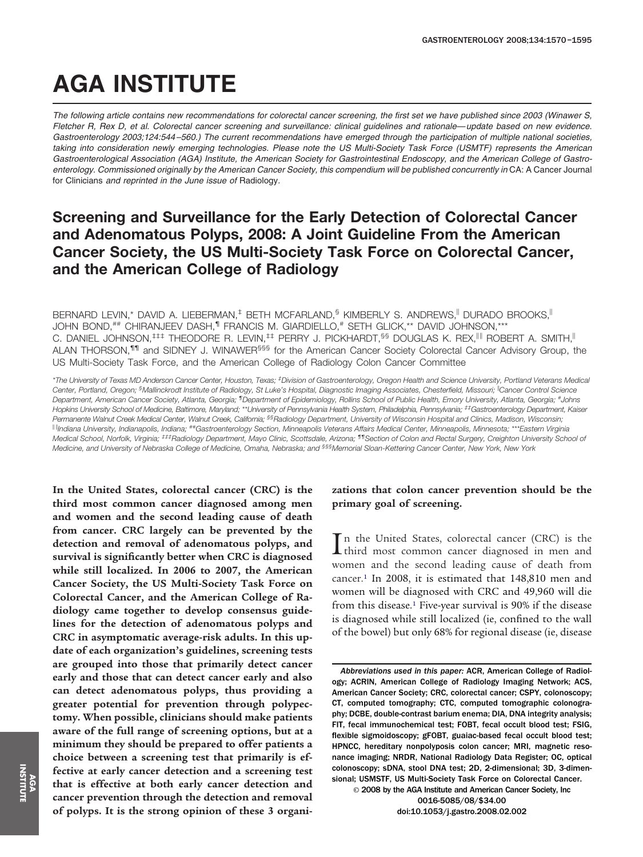# **AGA INSTITUTE**

*The following article contains new recommendations for colorectal cancer screening, the first set we have published since 2003 (Winawer S, Fletcher R, Rex D, et al. Colorectal cancer screening and surveillance: clinical guidelines and rationale— update based on new evidence. Gastroenterology 2003;124:544 –560.) The current recommendations have emerged through the participation of multiple national societies, taking into consideration newly emerging technologies. Please note the US Multi-Society Task Force (USMTF) represents the American Gastroenterological Association (AGA) Institute, the American Society for Gastrointestinal Endoscopy, and the American College of Gastro*enterology. Commissioned originally by the American Cancer Society, this compendium will be published concurrently in CA: A Cancer Journal for Clinicians *and reprinted in the June issue of* Radiology*.*

## **Screening and Surveillance for the Early Detection of Colorectal Cancer and Adenomatous Polyps, 2008: A Joint Guideline From the American Cancer Society, the US Multi-Society Task Force on Colorectal Cancer, and the American College of Radiology**

BERNARD LEVIN,\* DAVID A. LIEBERMAN,<sup>‡</sup> BETH MCFARLAND,<sup>§</sup> KIMBERLY S. ANDREWS,<sup>||</sup> DURADO BROOKS,<sup>||</sup> JOHN BOND,## CHIRANJEEV DASH,<sup>1</sup> FRANCIS M. GIARDIELLO,# SETH GLICK,\*\* DAVID JOHNSON,\*\*\* C. DANIEL JOHNSON,<sup>‡‡‡</sup> THEODORE R. LEVIN,<sup>‡‡</sup> PERRY J. PICKHARDT,<sup>§§</sup> DOUGLAS K. REX,<sup>||||</sup> ROBERT A. SMITH,<sup>||</sup> ALAN THORSON,<sup>11</sup> and SIDNEY J. WINAWER<sup>§§§</sup> for the American Cancer Society Colorectal Cancer Advisory Group, the US Multi-Society Task Force, and the American College of Radiology Colon Cancer Committee

*\*The University of Texas MD Anderson Cancer Center, Houston, Texas; ‡ Division of Gastroenterology, Oregon Health and Science University, Portland Veterans Medical Center, Portland, Oregon; § Mallinckrodt Institute of Radiology, St Luke's Hospital, Diagnostic Imaging Associates, Chesterfield, Missouri; Cancer Control Science* Department, American Cancer Society, Atlanta, Georgia; <sup>¶</sup>Department of Epidemiology, Rollins School of Public Health, Emory University, Atlanta, Georgia; <sup>#</sup>Johns *Hopkins University School of Medicine, Baltimore, Maryland; \*\*University of Pennsylvania Health System, Philadelphia, Pennsylvania; ‡‡Gastroenterology Department, Kaiser Permanente Walnut Creek Medical Center, Walnut Creek, California; §§Radiology Department, University of Wisconsin Hospital and Clinics, Madison, Wisconsin; Indiana University, Indianapolis, Indiana; ##Gastroenterology Section, Minneapolis Veterans Affairs Medical Center, Minneapolis, Minnesota; \*\*\*Eastern Virginia Medical School, Norfolk, Virginia; ‡‡‡Radiology Department, Mayo Clinic, Scottsdale, Arizona; ¶¶Section of Colon and Rectal Surgery, Creighton University School of Medicine, and University of Nebraska College of Medicine, Omaha, Nebraska; and §§§Memorial Sloan-Kettering Cancer Center, New York, New York*

**In the United States, colorectal cancer (CRC) is the third most common cancer diagnosed among men and women and the second leading cause of death from cancer. CRC largely can be prevented by the detection and removal of adenomatous polyps, and survival is significantly better when CRC is diagnosed while still localized. In 2006 to 2007, the American Cancer Society, the US Multi-Society Task Force on Colorectal Cancer, and the American College of Radiology came together to develop consensus guidelines for the detection of adenomatous polyps and CRC in asymptomatic average-risk adults. In this update of each organization's guidelines, screening tests are grouped into those that primarily detect cancer early and those that can detect cancer early and also can detect adenomatous polyps, thus providing a greater potential for prevention through polypectomy. When possible, clinicians should make patients aware of the full range of screening options, but at a minimum they should be prepared to offer patients a choice between a screening test that primarily is effective at early cancer detection and a screening test that is effective at both early cancer detection and cancer prevention through the detection and removal of polyps. It is the strong opinion of these 3 organi-**

## **zations that colon cancer prevention should be the primary goal of screening.**

In the United States, colorectal cancer (CRC) is the<br>third most common cancer diagnosed in men and n the United States, colorectal cancer (CRC) is the women and the second leading cause of death from cancer[.1](#page-19-0) In 2008, it is estimated that 148,810 men and women will be diagnosed with CRC and 49,960 will die from this disease.<sup>1</sup> Five-year survival is 90% if the disease is diagnosed while still localized (ie, confined to the wall of the bowel) but only 68% for regional disease (ie, disease

*Abbreviations used in this paper:* ACR, American College of Radiology; ACRIN, American College of Radiology Imaging Network; ACS, American Cancer Society; CRC, colorectal cancer; CSPY, colonoscopy; CT, computed tomography; CTC, computed tomographic colonography; DCBE, double-contrast barium enema; DIA, DNA integrity analysis; FIT, fecal immunochemical test; FOBT, fecal occult blood test; FSIG, flexible sigmoidoscopy; gFOBT, guaiac-based fecal occult blood test; HPNCC, hereditary nonpolyposis colon cancer; MRI, magnetic resonance imaging; NRDR, National Radiology Data Register; OC, optical colonoscopy; sDNA, stool DNA test; 2D, 2-dimensional; 3D, 3-dimensional; USMSTF, US Multi-Society Task Force on Colorectal Cancer.

<sup>©</sup> 2008 by the AGA Institute and American Cancer Society, Inc 0016-5085/08/\$34.00 doi:10.1053/j.gastro.2008.02.002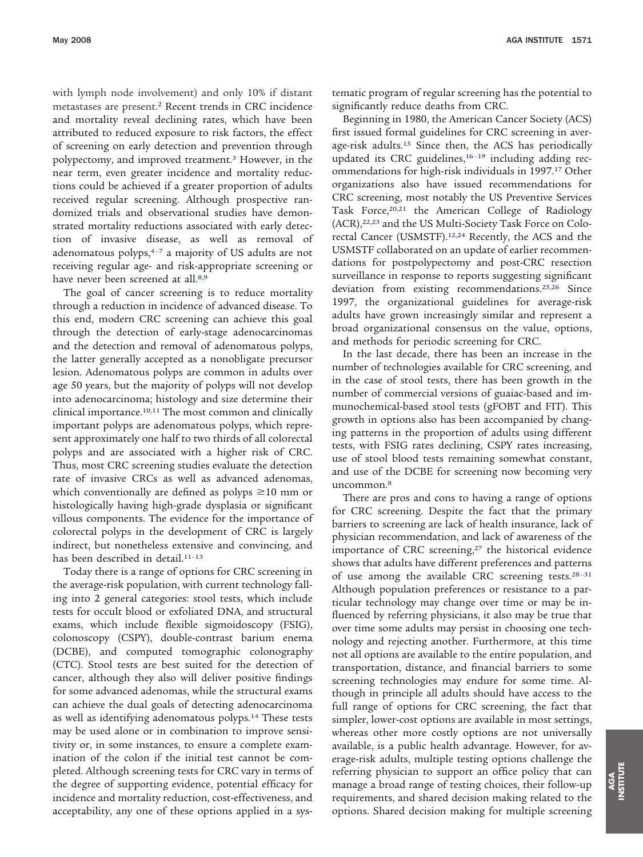with lymph node involvement) and only 10% if distant metastases are present[.2](#page-19-0) Recent trends in CRC incidence and mortality reveal declining rates, which have been attributed to reduced exposure to risk factors, the effect of screening on early detection and prevention through polypectomy, and improved treatment[.3](#page-19-0) However, in the near term, even greater incidence and mortality reductions could be achieved if a greater proportion of adults received regular screening. Although prospective randomized trials and observational studies have demonstrated mortality reductions associated with early detection of invasive disease, as well as removal of adenomatous polyps[,4–7](#page-19-0) a majority of US adults are not receiving regular age- and risk-appropriate screening or have never been screened at all[.8,9](#page-20-0)

The goal of cancer screening is to reduce mortality through a reduction in incidence of advanced disease. To this end, modern CRC screening can achieve this goal through the detection of early-stage adenocarcinomas and the detection and removal of adenomatous polyps, the latter generally accepted as a nonobligate precursor lesion. Adenomatous polyps are common in adults over age 50 years, but the majority of polyps will not develop into adenocarcinoma; histology and size determine their clinical importance[.10,11](#page-20-0) The most common and clinically important polyps are adenomatous polyps, which represent approximately one half to two thirds of all colorectal polyps and are associated with a higher risk of CRC. Thus, most CRC screening studies evaluate the detection rate of invasive CRCs as well as advanced adenomas, which conventionally are defined as polyps  $\geq 10$  mm or histologically having high-grade dysplasia or significant villous components. The evidence for the importance of colorectal polyps in the development of CRC is largely indirect, but nonetheless extensive and convincing, and has been described in detail.<sup>11-13</sup>

Today there is a range of options for CRC screening in the average-risk population, with current technology falling into 2 general categories: stool tests, which include tests for occult blood or exfoliated DNA, and structural exams, which include flexible sigmoidoscopy (FSIG), colonoscopy (CSPY), double-contrast barium enema (DCBE), and computed tomographic colonography (CTC). Stool tests are best suited for the detection of cancer, although they also will deliver positive findings for some advanced adenomas, while the structural exams can achieve the dual goals of detecting adenocarcinoma as well as identifying adenomatous polyps[.14](#page-20-0) These tests may be used alone or in combination to improve sensitivity or, in some instances, to ensure a complete examination of the colon if the initial test cannot be completed. Although screening tests for CRC vary in terms of the degree of supporting evidence, potential efficacy for incidence and mortality reduction, cost-effectiveness, and acceptability, any one of these options applied in a systematic program of regular screening has the potential to significantly reduce deaths from CRC.

Beginning in 1980, the American Cancer Society (ACS) first issued formal guidelines for CRC screening in average-risk adults[.15](#page-20-0) Since then, the ACS has periodically updated its CRC guidelines, $16-19$  including adding recommendations for high-risk individuals in 1997[.17](#page-20-0) Other organizations also have issued recommendations for CRC screening, most notably the US Preventive Services Task Force, 20,21 the American College of Radiology (ACR)[,22,23](#page-20-0) and the US Multi-Society Task Force on Colorectal Cancer (USMSTF)[.12,24](#page-20-0) Recently, the ACS and the USMSTF collaborated on an update of earlier recommendations for postpolypectomy and post-CRC resection surveillance in response to reports suggesting significant deviation from existing recommendations[.25,26](#page-20-0) Since 1997, the organizational guidelines for average-risk adults have grown increasingly similar and represent a broad organizational consensus on the value, options, and methods for periodic screening for CRC.

In the last decade, there has been an increase in the number of technologies available for CRC screening, and in the case of stool tests, there has been growth in the number of commercial versions of guaiac-based and immunochemical-based stool tests (gFOBT and FIT). This growth in options also has been accompanied by changing patterns in the proportion of adults using different tests, with FSIG rates declining, CSPY rates increasing, use of stool blood tests remaining somewhat constant, and use of the DCBE for screening now becoming very uncommon.<sup>8</sup>

There are pros and cons to having a range of options for CRC screening. Despite the fact that the primary barriers to screening are lack of health insurance, lack of physician recommendation, and lack of awareness of the importance of CRC screening, $27$  the historical evidence shows that adults have different preferences and patterns of use among the available CRC screening tests.<sup>28-31</sup> Although population preferences or resistance to a particular technology may change over time or may be influenced by referring physicians, it also may be true that over time some adults may persist in choosing one technology and rejecting another. Furthermore, at this time not all options are available to the entire population, and transportation, distance, and financial barriers to some screening technologies may endure for some time. Although in principle all adults should have access to the full range of options for CRC screening, the fact that simpler, lower-cost options are available in most settings, whereas other more costly options are not universally available, is a public health advantage. However, for average-risk adults, multiple testing options challenge the referring physician to support an office policy that can manage a broad range of testing choices, their follow-up requirements, and shared decision making related to the options. Shared decision making for multiple screening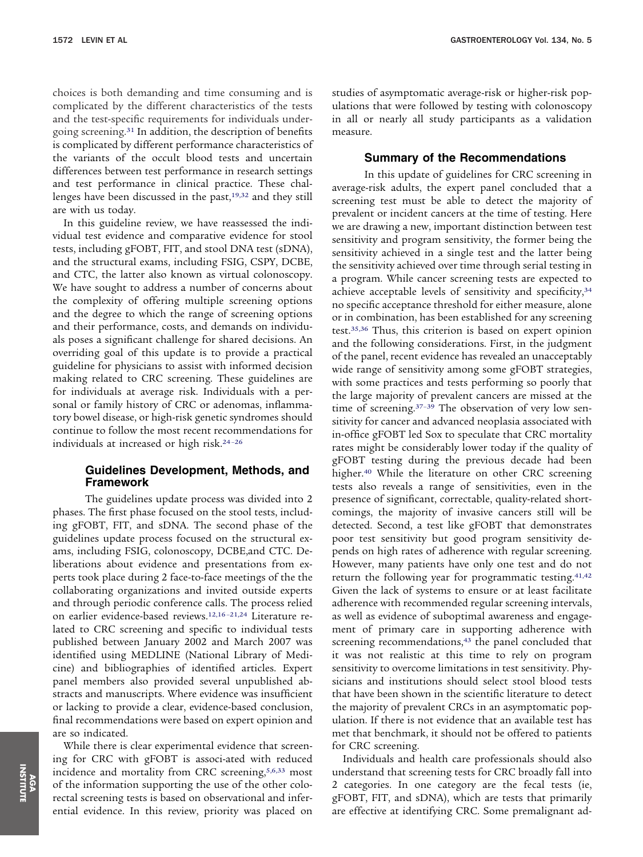choices is both demanding and time consuming and is complicated by the different characteristics of the tests and the test-specific requirements for individuals undergoing screening[.31](#page-20-0) In addition, the description of benefits is complicated by different performance characteristics of the variants of the occult blood tests and uncertain differences between test performance in research settings and test performance in clinical practice. These challenges have been discussed in the past[,19,32](#page-20-0) and they still are with us today.

In this guideline review, we have reassessed the individual test evidence and comparative evidence for stool tests, including gFOBT, FIT, and stool DNA test (sDNA), and the structural exams, including FSIG, CSPY, DCBE, and CTC, the latter also known as virtual colonoscopy. We have sought to address a number of concerns about the complexity of offering multiple screening options and the degree to which the range of screening options and their performance, costs, and demands on individuals poses a significant challenge for shared decisions. An overriding goal of this update is to provide a practical guideline for physicians to assist with informed decision making related to CRC screening. These guidelines are for individuals at average risk. Individuals with a personal or family history of CRC or adenomas, inflammatory bowel disease, or high-risk genetic syndromes should continue to follow the most recent recommendations for individuals at increased or high risk[.24 –26](#page-20-0)

### **Guidelines Development, Methods, and Framework**

The guidelines update process was divided into 2 phases. The first phase focused on the stool tests, including gFOBT, FIT, and sDNA. The second phase of the guidelines update process focused on the structural exams, including FSIG, colonoscopy, DCBE,and CTC. Deliberations about evidence and presentations from experts took place during 2 face-to-face meetings of the the collaborating organizations and invited outside experts and through periodic conference calls. The process relied on earlier evidence-based reviews[.12,16 –21,24](#page-20-0) Literature related to CRC screening and specific to individual tests published between January 2002 and March 2007 was identified using MEDLINE (National Library of Medicine) and bibliographies of identified articles. Expert panel members also provided several unpublished abstracts and manuscripts. Where evidence was insufficient or lacking to provide a clear, evidence-based conclusion, final recommendations were based on expert opinion and are so indicated.

While there is clear experimental evidence that screening for CRC with gFOBT is associ-ated with reduced incidence and mortality from CRC screening,<sup>5,6,33</sup> most of the information supporting the use of the other colorectal screening tests is based on observational and inferential evidence. In this review, priority was placed on studies of asymptomatic average-risk or higher-risk populations that were followed by testing with colonoscopy in all or nearly all study participants as a validation measure.

#### **Summary of the Recommendations**

In this update of guidelines for CRC screening in average-risk adults, the expert panel concluded that a screening test must be able to detect the majority of prevalent or incident cancers at the time of testing. Here we are drawing a new, important distinction between test sensitivity and program sensitivity, the former being the sensitivity achieved in a single test and the latter being the sensitivity achieved over time through serial testing in a program. While cancer screening tests are expected to achieve acceptable levels of sensitivity and specificity,<sup>34</sup> no specific acceptance threshold for either measure, alone or in combination, has been established for any screening test[.35,36](#page-20-0) Thus, this criterion is based on expert opinion and the following considerations. First, in the judgment of the panel, recent evidence has revealed an unacceptably wide range of sensitivity among some gFOBT strategies, with some practices and tests performing so poorly that the large majority of prevalent cancers are missed at the time of screening.<sup>37–39</sup> The observation of very low sensitivity for cancer and advanced neoplasia associated with in-office gFOBT led Sox to speculate that CRC mortality rates might be considerably lower today if the quality of gFOBT testing during the previous decade had been higher.<sup>40</sup> While the literature on other CRC screening tests also reveals a range of sensitivities, even in the presence of significant, correctable, quality-related shortcomings, the majority of invasive cancers still will be detected. Second, a test like gFOBT that demonstrates poor test sensitivity but good program sensitivity depends on high rates of adherence with regular screening. However, many patients have only one test and do not return the following year for programmatic testing.<sup>41,42</sup> Given the lack of systems to ensure or at least facilitate adherence with recommended regular screening intervals, as well as evidence of suboptimal awareness and engagement of primary care in supporting adherence with screening recommendations,<sup>43</sup> the panel concluded that it was not realistic at this time to rely on program sensitivity to overcome limitations in test sensitivity. Physicians and institutions should select stool blood tests that have been shown in the scientific literature to detect the majority of prevalent CRCs in an asymptomatic population. If there is not evidence that an available test has met that benchmark, it should not be offered to patients for CRC screening.

Individuals and health care professionals should also understand that screening tests for CRC broadly fall into 2 categories. In one category are the fecal tests (ie, gFOBT, FIT, and sDNA), which are tests that primarily are effective at identifying CRC. Some premalignant ad-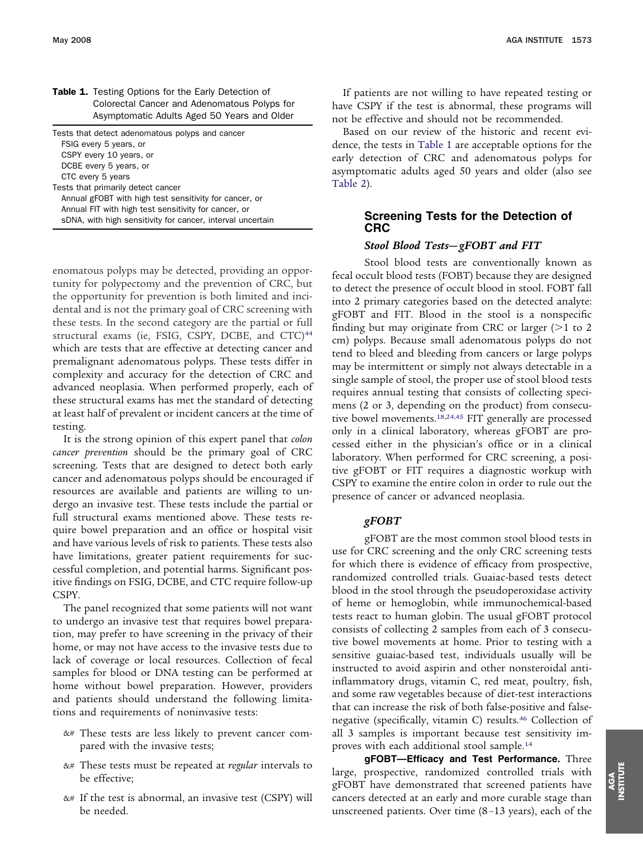| <b>Table 1.</b> Testing Options for the Early Detection of |  |  |
|------------------------------------------------------------|--|--|
| Colorectal Cancer and Adenomatous Polyps for               |  |  |
| Asymptomatic Adults Aged 50 Years and Older                |  |  |

| Tests that detect adenomatous polyps and cancer            |  |
|------------------------------------------------------------|--|
| FSIG every 5 years, or                                     |  |
| CSPY every 10 years, or                                    |  |
| DCBE every 5 years, or                                     |  |
| CTC every 5 years                                          |  |
| Tests that primarily detect cancer                         |  |
| Annual gFOBT with high test sensitivity for cancer, or     |  |
| Annual FIT with high test sensitivity for cancer, or       |  |
| sDNA, with high sensitivity for cancer, interval uncertain |  |

enomatous polyps may be detected, providing an opportunity for polypectomy and the prevention of CRC, but the opportunity for prevention is both limited and incidental and is not the primary goal of CRC screening with these tests. In the second category are the partial or full structural exams (ie, FSIG, CSPY, DCBE, and CTC)<sup>44</sup> which are tests that are effective at detecting cancer and premalignant adenomatous polyps. These tests differ in complexity and accuracy for the detection of CRC and advanced neoplasia. When performed properly, each of these structural exams has met the standard of detecting at least half of prevalent or incident cancers at the time of testing.

It is the strong opinion of this expert panel that *colon cancer prevention* should be the primary goal of CRC screening. Tests that are designed to detect both early cancer and adenomatous polyps should be encouraged if resources are available and patients are willing to undergo an invasive test. These tests include the partial or full structural exams mentioned above. These tests require bowel preparation and an office or hospital visit and have various levels of risk to patients. These tests also have limitations, greater patient requirements for successful completion, and potential harms. Significant positive findings on FSIG, DCBE, and CTC require follow-up CSPY.

The panel recognized that some patients will not want to undergo an invasive test that requires bowel preparation, may prefer to have screening in the privacy of their home, or may not have access to the invasive tests due to lack of coverage or local resources. Collection of fecal samples for blood or DNA testing can be performed at home without bowel preparation. However, providers and patients should understand the following limitations and requirements of noninvasive tests:

- &# These tests are less likely to prevent cancer compared with the invasive tests;
- &# These tests must be repeated at *regular* intervals to be effective;
- &# If the test is abnormal, an invasive test (CSPY) will be needed.

If patients are not willing to have repeated testing or have CSPY if the test is abnormal, these programs will not be effective and should not be recommended.

Based on our review of the historic and recent evidence, the tests in Table 1 are acceptable options for the early detection of CRC and adenomatous polyps for asymptomatic adults aged 50 years and older (also see [Table 2\)](#page-4-0).

## **Screening Tests for the Detection of CRC**

## *Stool Blood Tests— gFOBT and FIT*

Stool blood tests are conventionally known as fecal occult blood tests (FOBT) because they are designed to detect the presence of occult blood in stool. FOBT fall into 2 primary categories based on the detected analyte: gFOBT and FIT. Blood in the stool is a nonspecific finding but may originate from CRC or larger  $(>1)$  to 2 cm) polyps. Because small adenomatous polyps do not tend to bleed and bleeding from cancers or large polyps may be intermittent or simply not always detectable in a single sample of stool, the proper use of stool blood tests requires annual testing that consists of collecting specimens (2 or 3, depending on the product) from consecutive bowel movements[.18,24,45](#page-20-0) FIT generally are processed only in a clinical laboratory, whereas gFOBT are processed either in the physician's office or in a clinical laboratory. When performed for CRC screening, a positive gFOBT or FIT requires a diagnostic workup with CSPY to examine the entire colon in order to rule out the presence of cancer or advanced neoplasia.

## *gFOBT*

gFOBT are the most common stool blood tests in use for CRC screening and the only CRC screening tests for which there is evidence of efficacy from prospective, randomized controlled trials. Guaiac-based tests detect blood in the stool through the pseudoperoxidase activity of heme or hemoglobin, while immunochemical-based tests react to human globin. The usual gFOBT protocol consists of collecting 2 samples from each of 3 consecutive bowel movements at home. Prior to testing with a sensitive guaiac-based test, individuals usually will be instructed to avoid aspirin and other nonsteroidal antiinflammatory drugs, vitamin C, red meat, poultry, fish, and some raw vegetables because of diet-test interactions that can increase the risk of both false-positive and falsenegative (specifically, vitamin C) results[.46](#page-20-0) Collection of all 3 samples is important because test sensitivity improves with each additional stool sample[.14](#page-20-0)

**gFOBT—Efficacy and Test Performance.** Three large, prospective, randomized controlled trials with gFOBT have demonstrated that screened patients have cancers detected at an early and more curable stage than unscreened patients. Over time (8 –13 years), each of the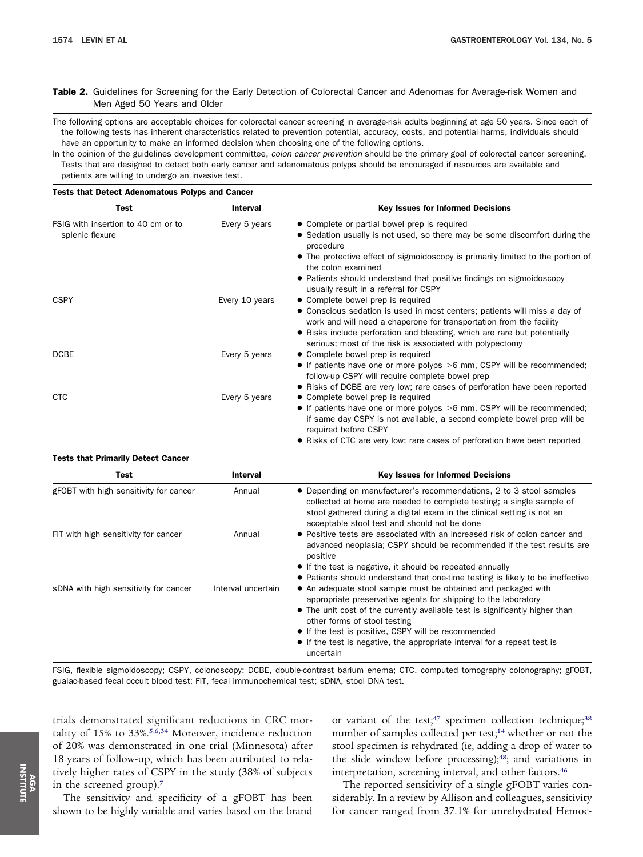#### <span id="page-4-0"></span>Table 2. Guidelines for Screening for the Early Detection of Colorectal Cancer and Adenomas for Average-risk Women and Men Aged 50 Years and Older

The following options are acceptable choices for colorectal cancer screening in average-risk adults beginning at age 50 years. Since each of the following tests has inherent characteristics related to prevention potential, accuracy, costs, and potential harms, individuals should have an opportunity to make an informed decision when choosing one of the following options.

In the opinion of the guidelines development committee, *colon cancer prevention* should be the primary goal of colorectal cancer screening. Tests that are designed to detect both early cancer and adenomatous polyps should be encouraged if resources are available and patients are willing to undergo an invasive test.

#### Tests that Detect Adenomatous Polyps and Cancer Test **Interval** Interval **Interval** Key Issues for Informed Decisions FSIG with insertion to 40 cm or to splenic flexure Every 5 years ● Complete or partial bowel prep is required ● Sedation usually is not used, so there may be some discomfort during the procedure The protective effect of sigmoidoscopy is primarily limited to the portion of the colon examined ● Patients should understand that positive findings on sigmoidoscopy usually result in a referral for CSPY CSPY Every 10 years ● Complete bowel prep is required ● Conscious sedation is used in most centers; patients will miss a day of work and will need a chaperone for transportation from the facility ● Risks include perforation and bleeding, which are rare but potentially serious; most of the risk is associated with polypectomy DCBE Every 5 years ● Complete bowel prep is required  $\bullet$  If patients have one or more polyps  $>6$  mm, CSPY will be recommended; follow-up CSPY will require complete bowel prep ● Risks of DCBE are very low; rare cases of perforation have been reported CTC Every 5 years ● Complete bowel prep is required  $\bullet$  If patients have one or more polyps  $>6$  mm, CSPY will be recommended; if same day CSPY is not available, a second complete bowel prep will be required before CSPY ● Risks of CTC are very low; rare cases of perforation have been reported

| <b>Tests that Primarily Detect Cancer</b> |                    |                                                                                                                                                                                                                                                                                                                                                                                                 |  |
|-------------------------------------------|--------------------|-------------------------------------------------------------------------------------------------------------------------------------------------------------------------------------------------------------------------------------------------------------------------------------------------------------------------------------------------------------------------------------------------|--|
| Test                                      | Interval           | <b>Key Issues for Informed Decisions</b>                                                                                                                                                                                                                                                                                                                                                        |  |
| gFOBT with high sensitivity for cancer    | Annual             | • Depending on manufacturer's recommendations, 2 to 3 stool samples<br>collected at home are needed to complete testing; a single sample of<br>stool gathered during a digital exam in the clinical setting is not an<br>acceptable stool test and should not be done                                                                                                                           |  |
| FIT with high sensitivity for cancer      | Annual             | • Positive tests are associated with an increased risk of colon cancer and<br>advanced neoplasia; CSPY should be recommended if the test results are<br>positive<br>• If the test is negative, it should be repeated annually<br>• Patients should understand that one-time testing is likely to be ineffective                                                                                 |  |
| sDNA with high sensitivity for cancer     | Interval uncertain | • An adequate stool sample must be obtained and packaged with<br>appropriate preservative agents for shipping to the laboratory<br>• The unit cost of the currently available test is significantly higher than<br>other forms of stool testing<br>• If the test is positive, CSPY will be recommended<br>• If the test is negative, the appropriate interval for a repeat test is<br>uncertain |  |

FSIG, flexible sigmoidoscopy; CSPY, colonoscopy; DCBE, double-contrast barium enema; CTC, computed tomography colonography; gFOBT, guaiac-based fecal occult blood test; FIT, fecal immunochemical test; sDNA, stool DNA test.

trials demonstrated significant reductions in CRC mortality of 15% to 33%[.5,6,34](#page-19-0) Moreover, incidence reduction of 20% was demonstrated in one trial (Minnesota) after 18 years of follow-up, which has been attributed to relatively higher rates of CSPY in the study (38% of subjects in the screened group)[.7](#page-20-0)

The sensitivity and specificity of a gFOBT has been shown to be highly variable and varies based on the brand or variant of the test;<sup>47</sup> specimen collection technique;<sup>38</sup> number of samples collected per test;<sup>14</sup> whether or not the stool specimen is rehydrated (ie, adding a drop of water to the slide window before processing)[;48;](#page-21-0) and variations in interpretation, screening interval, and other factors.<sup>46</sup>

The reported sensitivity of a single gFOBT varies considerably. In a review by Allison and colleagues, sensitivity for cancer ranged from 37.1% for unrehydrated Hemoc-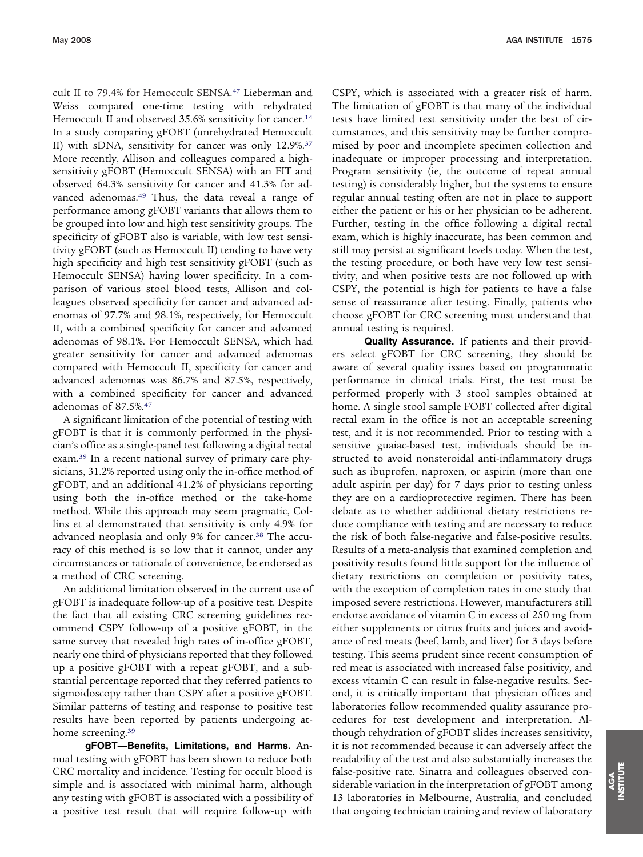cult II to 79.4% for Hemoccult SENSA[.47](#page-20-0) Lieberman and Weiss compared one-time testing with rehydrated Hemoccult II and observed 35.6% sensitivity for cancer.<sup>14</sup> In a study comparing gFOBT (unrehydrated Hemoccult II) with sDNA, sensitivity for cancer was only 12.9%[.37](#page-20-0) More recently, Allison and colleagues compared a highsensitivity gFOBT (Hemoccult SENSA) with an FIT and observed 64.3% sensitivity for cancer and 41.3% for advanced adenomas[.49](#page-21-0) Thus, the data reveal a range of performance among gFOBT variants that allows them to be grouped into low and high test sensitivity groups. The specificity of gFOBT also is variable, with low test sensitivity gFOBT (such as Hemoccult II) tending to have very high specificity and high test sensitivity gFOBT (such as Hemoccult SENSA) having lower specificity. In a comparison of various stool blood tests, Allison and colleagues observed specificity for cancer and advanced adenomas of 97.7% and 98.1%, respectively, for Hemoccult II, with a combined specificity for cancer and advanced adenomas of 98.1%. For Hemoccult SENSA, which had greater sensitivity for cancer and advanced adenomas compared with Hemoccult II, specificity for cancer and advanced adenomas was 86.7% and 87.5%, respectively, with a combined specificity for cancer and advanced adenomas of 87.5%[.47](#page-20-0)

A significant limitation of the potential of testing with gFOBT is that it is commonly performed in the physician's office as a single-panel test following a digital rectal exam[.39](#page-20-0) In a recent national survey of primary care physicians, 31.2% reported using only the in-office method of gFOBT, and an additional 41.2% of physicians reporting using both the in-office method or the take-home method. While this approach may seem pragmatic, Collins et al demonstrated that sensitivity is only 4.9% for advanced neoplasia and only 9% for cancer[.38](#page-20-0) The accuracy of this method is so low that it cannot, under any circumstances or rationale of convenience, be endorsed as a method of CRC screening.

An additional limitation observed in the current use of gFOBT is inadequate follow-up of a positive test. Despite the fact that all existing CRC screening guidelines recommend CSPY follow-up of a positive gFOBT, in the same survey that revealed high rates of in-office gFOBT, nearly one third of physicians reported that they followed up a positive gFOBT with a repeat gFOBT, and a substantial percentage reported that they referred patients to sigmoidoscopy rather than CSPY after a positive gFOBT. Similar patterns of testing and response to positive test results have been reported by patients undergoing athome screening.<sup>39</sup>

**gFOBT—Benefits, Limitations, and Harms.** Annual testing with gFOBT has been shown to reduce both CRC mortality and incidence. Testing for occult blood is simple and is associated with minimal harm, although any testing with gFOBT is associated with a possibility of a positive test result that will require follow-up with

CSPY, which is associated with a greater risk of harm. The limitation of gFOBT is that many of the individual tests have limited test sensitivity under the best of circumstances, and this sensitivity may be further compromised by poor and incomplete specimen collection and inadequate or improper processing and interpretation. Program sensitivity (ie, the outcome of repeat annual testing) is considerably higher, but the systems to ensure regular annual testing often are not in place to support either the patient or his or her physician to be adherent. Further, testing in the office following a digital rectal exam, which is highly inaccurate, has been common and still may persist at significant levels today. When the test, the testing procedure, or both have very low test sensitivity, and when positive tests are not followed up with CSPY, the potential is high for patients to have a false sense of reassurance after testing. Finally, patients who choose gFOBT for CRC screening must understand that annual testing is required.

**Quality Assurance.** If patients and their providers select gFOBT for CRC screening, they should be aware of several quality issues based on programmatic performance in clinical trials. First, the test must be performed properly with 3 stool samples obtained at home. A single stool sample FOBT collected after digital rectal exam in the office is not an acceptable screening test, and it is not recommended. Prior to testing with a sensitive guaiac-based test, individuals should be instructed to avoid nonsteroidal anti-inflammatory drugs such as ibuprofen, naproxen, or aspirin (more than one adult aspirin per day) for 7 days prior to testing unless they are on a cardioprotective regimen. There has been debate as to whether additional dietary restrictions reduce compliance with testing and are necessary to reduce the risk of both false-negative and false-positive results. Results of a meta-analysis that examined completion and positivity results found little support for the influence of dietary restrictions on completion or positivity rates, with the exception of completion rates in one study that imposed severe restrictions. However, manufacturers still endorse avoidance of vitamin C in excess of 250 mg from either supplements or citrus fruits and juices and avoidance of red meats (beef, lamb, and liver) for 3 days before testing. This seems prudent since recent consumption of red meat is associated with increased false positivity, and excess vitamin C can result in false-negative results. Second, it is critically important that physician offices and laboratories follow recommended quality assurance procedures for test development and interpretation. Although rehydration of gFOBT slides increases sensitivity, it is not recommended because it can adversely affect the readability of the test and also substantially increases the false-positive rate. Sinatra and colleagues observed considerable variation in the interpretation of gFOBT among 13 laboratories in Melbourne, Australia, and concluded that ongoing technician training and review of laboratory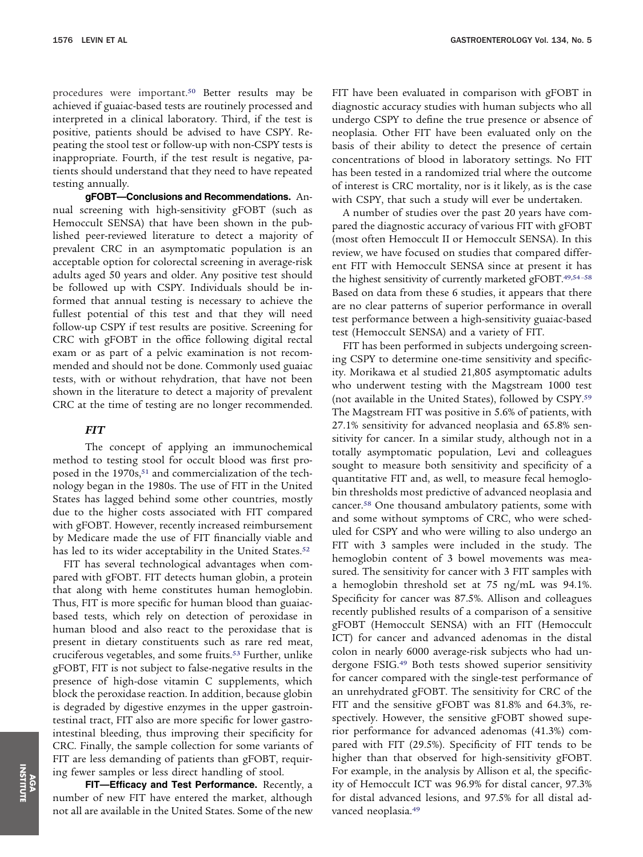procedures were important[.50](#page-21-0) Better results may be achieved if guaiac-based tests are routinely processed and interpreted in a clinical laboratory. Third, if the test is positive, patients should be advised to have CSPY. Repeating the stool test or follow-up with non-CSPY tests is inappropriate. Fourth, if the test result is negative, patients should understand that they need to have repeated testing annually.

**gFOBT—Conclusions and Recommendations.** Annual screening with high-sensitivity gFOBT (such as Hemoccult SENSA) that have been shown in the published peer-reviewed literature to detect a majority of prevalent CRC in an asymptomatic population is an acceptable option for colorectal screening in average-risk adults aged 50 years and older. Any positive test should be followed up with CSPY. Individuals should be informed that annual testing is necessary to achieve the fullest potential of this test and that they will need follow-up CSPY if test results are positive. Screening for CRC with gFOBT in the office following digital rectal exam or as part of a pelvic examination is not recommended and should not be done. Commonly used guaiac tests, with or without rehydration, that have not been shown in the literature to detect a majority of prevalent CRC at the time of testing are no longer recommended.

#### *FIT*

The concept of applying an immunochemical method to testing stool for occult blood was first proposed in the  $1970s<sub>51</sub>$  and commercialization of the technology began in the 1980s. The use of FIT in the United States has lagged behind some other countries, mostly due to the higher costs associated with FIT compared with gFOBT. However, recently increased reimbursement by Medicare made the use of FIT financially viable and has led to its wider acceptability in the United States.<sup>52</sup>

FIT has several technological advantages when compared with gFOBT. FIT detects human globin, a protein that along with heme constitutes human hemoglobin. Thus, FIT is more specific for human blood than guaiacbased tests, which rely on detection of peroxidase in human blood and also react to the peroxidase that is present in dietary constituents such as rare red meat, cruciferous vegetables, and some fruits[.53](#page-21-0) Further, unlike gFOBT, FIT is not subject to false-negative results in the presence of high-dose vitamin C supplements, which block the peroxidase reaction. In addition, because globin is degraded by digestive enzymes in the upper gastrointestinal tract, FIT also are more specific for lower gastrointestinal bleeding, thus improving their specificity for CRC. Finally, the sample collection for some variants of FIT are less demanding of patients than gFOBT, requiring fewer samples or less direct handling of stool.

**FIT—Efficacy and Test Performance.** Recently, a number of new FIT have entered the market, although not all are available in the United States. Some of the new FIT have been evaluated in comparison with gFOBT in diagnostic accuracy studies with human subjects who all undergo CSPY to define the true presence or absence of neoplasia. Other FIT have been evaluated only on the basis of their ability to detect the presence of certain concentrations of blood in laboratory settings. No FIT has been tested in a randomized trial where the outcome of interest is CRC mortality, nor is it likely, as is the case with CSPY, that such a study will ever be undertaken.

A number of studies over the past 20 years have compared the diagnostic accuracy of various FIT with gFOBT (most often Hemoccult II or Hemoccult SENSA). In this review, we have focused on studies that compared different FIT with Hemoccult SENSA since at present it has the highest sensitivity of currently marketed gFOBT.<sup>49,54-58</sup> Based on data from these 6 studies, it appears that there are no clear patterns of superior performance in overall test performance between a high-sensitivity guaiac-based test (Hemoccult SENSA) and a variety of FIT.

FIT has been performed in subjects undergoing screening CSPY to determine one-time sensitivity and specificity. Morikawa et al studied 21,805 asymptomatic adults who underwent testing with the Magstream 1000 test (not available in the United States), followed by CSPY[.59](#page-21-0) The Magstream FIT was positive in 5.6% of patients, with 27.1% sensitivity for advanced neoplasia and 65.8% sensitivity for cancer. In a similar study, although not in a totally asymptomatic population, Levi and colleagues sought to measure both sensitivity and specificity of a quantitative FIT and, as well, to measure fecal hemoglobin thresholds most predictive of advanced neoplasia and cancer[.58](#page-21-0) One thousand ambulatory patients, some with and some without symptoms of CRC, who were scheduled for CSPY and who were willing to also undergo an FIT with 3 samples were included in the study. The hemoglobin content of 3 bowel movements was measured. The sensitivity for cancer with 3 FIT samples with a hemoglobin threshold set at 75 ng/mL was 94.1%. Specificity for cancer was 87.5%. Allison and colleagues recently published results of a comparison of a sensitive gFOBT (Hemoccult SENSA) with an FIT (Hemoccult ICT) for cancer and advanced adenomas in the distal colon in nearly 6000 average-risk subjects who had undergone FSIG[.49](#page-21-0) Both tests showed superior sensitivity for cancer compared with the single-test performance of an unrehydrated gFOBT. The sensitivity for CRC of the FIT and the sensitive gFOBT was 81.8% and 64.3%, respectively. However, the sensitive gFOBT showed superior performance for advanced adenomas (41.3%) compared with FIT (29.5%). Specificity of FIT tends to be higher than that observed for high-sensitivity gFOBT. For example, in the analysis by Allison et al, the specificity of Hemoccult ICT was 96.9% for distal cancer, 97.3% for distal advanced lesions, and 97.5% for all distal advanced neoplasia[.49](#page-21-0)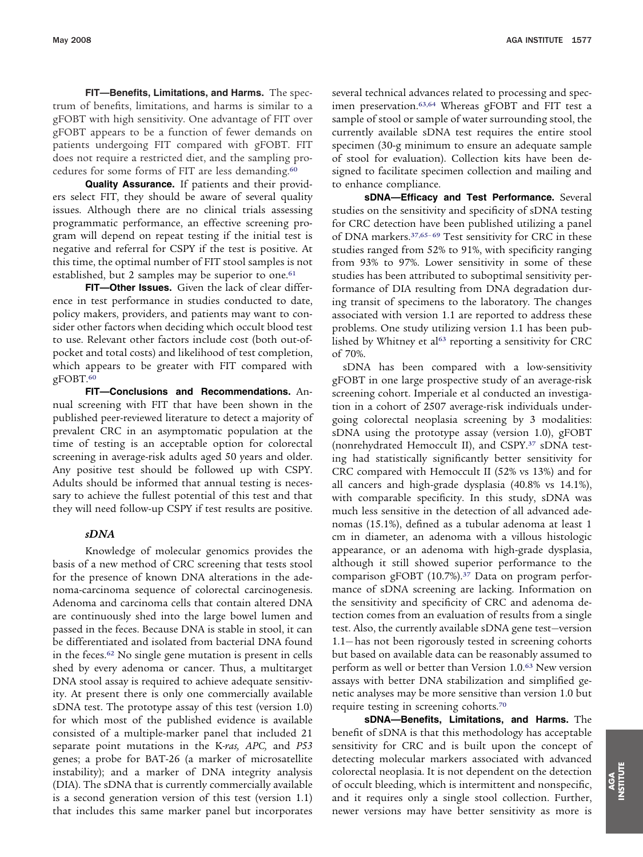**FIT—Benefits, Limitations, and Harms.** The spectrum of benefits, limitations, and harms is similar to a gFOBT with high sensitivity. One advantage of FIT over gFOBT appears to be a function of fewer demands on patients undergoing FIT compared with gFOBT. FIT does not require a restricted diet, and the sampling procedures for some forms of FIT are less demanding[.60](#page-21-0)

**Quality Assurance.** If patients and their providers select FIT, they should be aware of several quality issues. Although there are no clinical trials assessing programmatic performance, an effective screening program will depend on repeat testing if the initial test is negative and referral for CSPY if the test is positive. At this time, the optimal number of FIT stool samples is not established, but 2 samples may be superior to one.<sup>61</sup>

**FIT—Other Issues.** Given the lack of clear difference in test performance in studies conducted to date, policy makers, providers, and patients may want to consider other factors when deciding which occult blood test to use. Relevant other factors include cost (both out-ofpocket and total costs) and likelihood of test completion, which appears to be greater with FIT compared with gFOBT[.60](#page-21-0)

**FIT—Conclusions and Recommendations.** Annual screening with FIT that have been shown in the published peer-reviewed literature to detect a majority of prevalent CRC in an asymptomatic population at the time of testing is an acceptable option for colorectal screening in average-risk adults aged 50 years and older. Any positive test should be followed up with CSPY. Adults should be informed that annual testing is necessary to achieve the fullest potential of this test and that they will need follow-up CSPY if test results are positive.

#### *sDNA*

Knowledge of molecular genomics provides the basis of a new method of CRC screening that tests stool for the presence of known DNA alterations in the adenoma-carcinoma sequence of colorectal carcinogenesis. Adenoma and carcinoma cells that contain altered DNA are continuously shed into the large bowel lumen and passed in the feces. Because DNA is stable in stool, it can be differentiated and isolated from bacterial DNA found in the feces[.62](#page-21-0) No single gene mutation is present in cells shed by every adenoma or cancer. Thus, a multitarget DNA stool assay is required to achieve adequate sensitivity. At present there is only one commercially available sDNA test. The prototype assay of this test (version 1.0) for which most of the published evidence is available consisted of a multiple-marker panel that included 21 separate point mutations in the K*-ras, APC,* and *P53* genes; a probe for BAT-26 (a marker of microsatellite instability); and a marker of DNA integrity analysis (DIA). The sDNA that is currently commercially available is a second generation version of this test (version 1.1) that includes this same marker panel but incorporates

several technical advances related to processing and specimen preservation[.63,64](#page-21-0) Whereas gFOBT and FIT test a sample of stool or sample of water surrounding stool, the currently available sDNA test requires the entire stool specimen (30-g minimum to ensure an adequate sample of stool for evaluation). Collection kits have been designed to facilitate specimen collection and mailing and to enhance compliance.

**sDNA—Efficacy and Test Performance.** Several studies on the sensitivity and specificity of sDNA testing for CRC detection have been published utilizing a panel of DNA markers.<sup>37,65-69</sup> Test sensitivity for CRC in these studies ranged from 52% to 91%, with specificity ranging from 93% to 97%. Lower sensitivity in some of these studies has been attributed to suboptimal sensitivity performance of DIA resulting from DNA degradation during transit of specimens to the laboratory. The changes associated with version 1.1 are reported to address these problems. One study utilizing version 1.1 has been published by Whitney et al<sup>63</sup> reporting a sensitivity for CRC of 70%.

sDNA has been compared with a low-sensitivity gFOBT in one large prospective study of an average-risk screening cohort. Imperiale et al conducted an investigation in a cohort of 2507 average-risk individuals undergoing colorectal neoplasia screening by 3 modalities: sDNA using the prototype assay (version 1.0), gFOBT (nonrehydrated Hemoccult II), and CSPY[.37](#page-20-0) sDNA testing had statistically significantly better sensitivity for CRC compared with Hemoccult II (52% vs 13%) and for all cancers and high-grade dysplasia (40.8% vs 14.1%), with comparable specificity. In this study, sDNA was much less sensitive in the detection of all advanced adenomas (15.1%), defined as a tubular adenoma at least 1 cm in diameter, an adenoma with a villous histologic appearance, or an adenoma with high-grade dysplasia, although it still showed superior performance to the comparison gFOBT (10.7%).<sup>37</sup> Data on program performance of sDNA screening are lacking. Information on the sensitivity and specificity of CRC and adenoma detection comes from an evaluation of results from a single test. Also, the currently available sDNA gene test—version 1.1— has not been rigorously tested in screening cohorts but based on available data can be reasonably assumed to perform as well or better than Version 1.0[.63](#page-21-0) New version assays with better DNA stabilization and simplified genetic analyses may be more sensitive than version 1.0 but require testing in screening cohorts[.70](#page-21-0)

**sDNA—Benefits, Limitations, and Harms.** The benefit of sDNA is that this methodology has acceptable sensitivity for CRC and is built upon the concept of detecting molecular markers associated with advanced colorectal neoplasia. It is not dependent on the detection of occult bleeding, which is intermittent and nonspecific, and it requires only a single stool collection. Further, newer versions may have better sensitivity as more is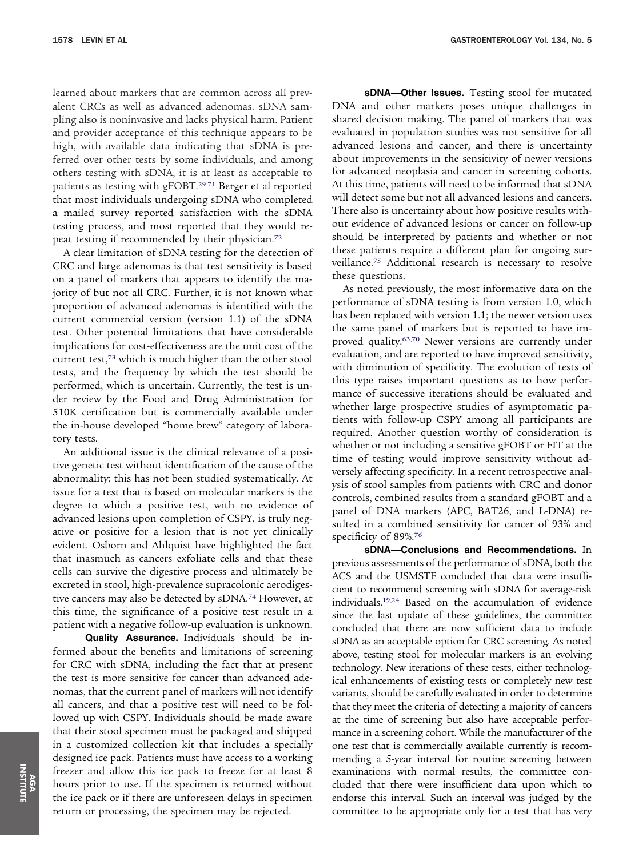learned about markers that are common across all prevalent CRCs as well as advanced adenomas. sDNA sampling also is noninvasive and lacks physical harm. Patient and provider acceptance of this technique appears to be high, with available data indicating that sDNA is preferred over other tests by some individuals, and among others testing with sDNA, it is at least as acceptable to patients as testing with gFOBT[.29,71](#page-20-0) Berger et al reported that most individuals undergoing sDNA who completed a mailed survey reported satisfaction with the sDNA testing process, and most reported that they would repeat testing if recommended by their physician[.72](#page-21-0)

A clear limitation of sDNA testing for the detection of CRC and large adenomas is that test sensitivity is based on a panel of markers that appears to identify the majority of but not all CRC. Further, it is not known what proportion of advanced adenomas is identified with the current commercial version (version 1.1) of the sDNA test. Other potential limitations that have considerable implications for cost-effectiveness are the unit cost of the current test[,73](#page-21-0) which is much higher than the other stool tests, and the frequency by which the test should be performed, which is uncertain. Currently, the test is under review by the Food and Drug Administration for 510K certification but is commercially available under the in-house developed "home brew" category of laboratory tests.

An additional issue is the clinical relevance of a positive genetic test without identification of the cause of the abnormality; this has not been studied systematically. At issue for a test that is based on molecular markers is the degree to which a positive test, with no evidence of advanced lesions upon completion of CSPY, is truly negative or positive for a lesion that is not yet clinically evident. Osborn and Ahlquist have highlighted the fact that inasmuch as cancers exfoliate cells and that these cells can survive the digestive process and ultimately be excreted in stool, high-prevalence supracolonic aerodigestive cancers may also be detected by sDNA[.74](#page-21-0) However, at this time, the significance of a positive test result in a patient with a negative follow-up evaluation is unknown.

**Quality Assurance.** Individuals should be informed about the benefits and limitations of screening for CRC with sDNA, including the fact that at present the test is more sensitive for cancer than advanced adenomas, that the current panel of markers will not identify all cancers, and that a positive test will need to be followed up with CSPY. Individuals should be made aware that their stool specimen must be packaged and shipped in a customized collection kit that includes a specially designed ice pack. Patients must have access to a working freezer and allow this ice pack to freeze for at least 8 hours prior to use. If the specimen is returned without the ice pack or if there are unforeseen delays in specimen return or processing, the specimen may be rejected.

**sDNA—Other Issues.** Testing stool for mutated DNA and other markers poses unique challenges in shared decision making. The panel of markers that was evaluated in population studies was not sensitive for all advanced lesions and cancer, and there is uncertainty about improvements in the sensitivity of newer versions for advanced neoplasia and cancer in screening cohorts. At this time, patients will need to be informed that sDNA will detect some but not all advanced lesions and cancers. There also is uncertainty about how positive results without evidence of advanced lesions or cancer on follow-up should be interpreted by patients and whether or not these patients require a different plan for ongoing surveillance[.75](#page-21-0) Additional research is necessary to resolve these questions.

As noted previously, the most informative data on the performance of sDNA testing is from version 1.0, which has been replaced with version 1.1; the newer version uses the same panel of markers but is reported to have improved quality[.63,70](#page-21-0) Newer versions are currently under evaluation, and are reported to have improved sensitivity, with diminution of specificity. The evolution of tests of this type raises important questions as to how performance of successive iterations should be evaluated and whether large prospective studies of asymptomatic patients with follow-up CSPY among all participants are required. Another question worthy of consideration is whether or not including a sensitive gFOBT or FIT at the time of testing would improve sensitivity without adversely affecting specificity. In a recent retrospective analysis of stool samples from patients with CRC and donor controls, combined results from a standard gFOBT and a panel of DNA markers (APC, BAT26, and L-DNA) resulted in a combined sensitivity for cancer of 93% and specificity of 89%[.76](#page-21-0)

**sDNA—Conclusions and Recommendations.** In previous assessments of the performance of sDNA, both the ACS and the USMSTF concluded that data were insufficient to recommend screening with sDNA for average-risk individuals[.19,24](#page-20-0) Based on the accumulation of evidence since the last update of these guidelines, the committee concluded that there are now sufficient data to include sDNA as an acceptable option for CRC screening. As noted above, testing stool for molecular markers is an evolving technology. New iterations of these tests, either technological enhancements of existing tests or completely new test variants, should be carefully evaluated in order to determine that they meet the criteria of detecting a majority of cancers at the time of screening but also have acceptable performance in a screening cohort. While the manufacturer of the one test that is commercially available currently is recommending a 5-year interval for routine screening between examinations with normal results, the committee concluded that there were insufficient data upon which to endorse this interval. Such an interval was judged by the committee to be appropriate only for a test that has very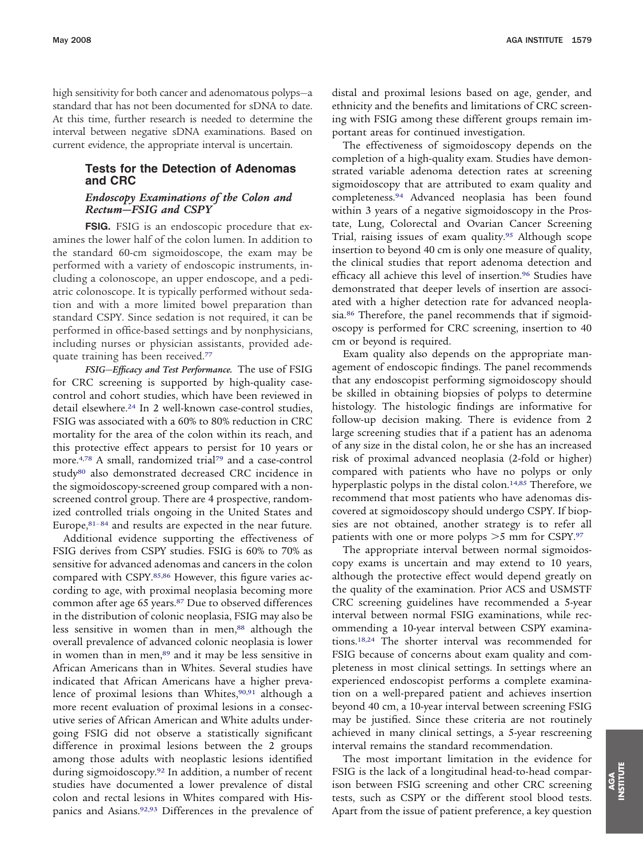high sensitivity for both cancer and adenomatous polyps—a standard that has not been documented for sDNA to date. At this time, further research is needed to determine the interval between negative sDNA examinations. Based on current evidence, the appropriate interval is uncertain.

## **Tests for the Detection of Adenomas and CRC**

#### *Endoscopy Examinations of the Colon and Rectum—FSIG and CSPY*

FSIG. FSIG is an endoscopic procedure that examines the lower half of the colon lumen. In addition to the standard 60-cm sigmoidoscope, the exam may be performed with a variety of endoscopic instruments, including a colonoscope, an upper endoscope, and a pediatric colonoscope. It is typically performed without sedation and with a more limited bowel preparation than standard CSPY. Since sedation is not required, it can be performed in office-based settings and by nonphysicians, including nurses or physician assistants, provided adequate training has been received[.77](#page-21-0)

*FSIG—Efficacy and Test Performance.* The use of FSIG for CRC screening is supported by high-quality casecontrol and cohort studies, which have been reviewed in detail elsewhere[.24](#page-20-0) In 2 well-known case-control studies, FSIG was associated with a 60% to 80% reduction in CRC mortality for the area of the colon within its reach, and this protective effect appears to persist for 10 years or more[.4,78](#page-19-0) A small, randomized tria[l79](#page-21-0) and a case-control study<sup>80</sup> also demonstrated decreased CRC incidence in the sigmoidoscopy-screened group compared with a nonscreened control group. There are 4 prospective, randomized controlled trials ongoing in the United States and Europe, $81-84$  and results are expected in the near future.

Additional evidence supporting the effectiveness of FSIG derives from CSPY studies. FSIG is 60% to 70% as sensitive for advanced adenomas and cancers in the colon compared with CSPY[.85,86](#page-21-0) However, this figure varies according to age, with proximal neoplasia becoming more common after age 65 years[.87](#page-22-0) Due to observed differences in the distribution of colonic neoplasia, FSIG may also be less sensitive in women than in men,<sup>88</sup> although the overall prevalence of advanced colonic neoplasia is lower in women than in men,<sup>89</sup> and it may be less sensitive in African Americans than in Whites. Several studies have indicated that African Americans have a higher prevalence of proximal lesions than Whites,  $90,91$  although a more recent evaluation of proximal lesions in a consecutive series of African American and White adults undergoing FSIG did not observe a statistically significant difference in proximal lesions between the 2 groups among those adults with neoplastic lesions identified during sigmoidoscopy[.92](#page-22-0) In addition, a number of recent studies have documented a lower prevalence of distal colon and rectal lesions in Whites compared with Hispanics and Asians[.92,93](#page-22-0) Differences in the prevalence of distal and proximal lesions based on age, gender, and ethnicity and the benefits and limitations of CRC screening with FSIG among these different groups remain important areas for continued investigation.

The effectiveness of sigmoidoscopy depends on the completion of a high-quality exam. Studies have demonstrated variable adenoma detection rates at screening sigmoidoscopy that are attributed to exam quality and completeness[.94](#page-22-0) Advanced neoplasia has been found within 3 years of a negative sigmoidoscopy in the Prostate, Lung, Colorectal and Ovarian Cancer Screening Trial, raising issues of exam quality[.95](#page-22-0) Although scope insertion to beyond 40 cm is only one measure of quality, the clinical studies that report adenoma detection and efficacy all achieve this level of insertion.<sup>96</sup> Studies have demonstrated that deeper levels of insertion are associated with a higher detection rate for advanced neoplasia.<sup>86</sup> Therefore, the panel recommends that if sigmoidoscopy is performed for CRC screening, insertion to 40 cm or beyond is required.

Exam quality also depends on the appropriate management of endoscopic findings. The panel recommends that any endoscopist performing sigmoidoscopy should be skilled in obtaining biopsies of polyps to determine histology. The histologic findings are informative for follow-up decision making. There is evidence from 2 large screening studies that if a patient has an adenoma of any size in the distal colon, he or she has an increased risk of proximal advanced neoplasia (2-fold or higher) compared with patients who have no polyps or only hyperplastic polyps in the distal colon.<sup>14,85</sup> Therefore, we recommend that most patients who have adenomas discovered at sigmoidoscopy should undergo CSPY. If biopsies are not obtained, another strategy is to refer all patients with one or more polyps  $>5$  mm for CSPY[.97](#page-22-0)

The appropriate interval between normal sigmoidoscopy exams is uncertain and may extend to 10 years, although the protective effect would depend greatly on the quality of the examination. Prior ACS and USMSTF CRC screening guidelines have recommended a 5-year interval between normal FSIG examinations, while recommending a 10-year interval between CSPY examinations[.18,24](#page-20-0) The shorter interval was recommended for FSIG because of concerns about exam quality and completeness in most clinical settings. In settings where an experienced endoscopist performs a complete examination on a well-prepared patient and achieves insertion beyond 40 cm, a 10-year interval between screening FSIG may be justified. Since these criteria are not routinely achieved in many clinical settings, a 5-year rescreening interval remains the standard recommendation.

The most important limitation in the evidence for FSIG is the lack of a longitudinal head-to-head comparison between FSIG screening and other CRC screening tests, such as CSPY or the different stool blood tests. Apart from the issue of patient preference, a key question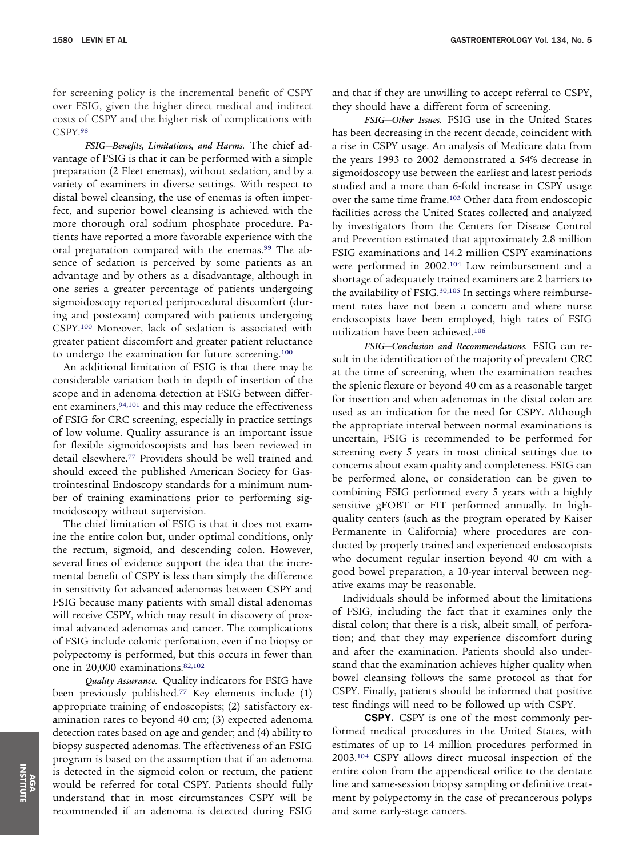for screening policy is the incremental benefit of CSPY over FSIG, given the higher direct medical and indirect costs of CSPY and the higher risk of complications with CSPY[.98](#page-22-0)

*FSIG—Benefits, Limitations, and Harms.* The chief advantage of FSIG is that it can be performed with a simple preparation (2 Fleet enemas), without sedation, and by a variety of examiners in diverse settings. With respect to distal bowel cleansing, the use of enemas is often imperfect, and superior bowel cleansing is achieved with the more thorough oral sodium phosphate procedure. Patients have reported a more favorable experience with the oral preparation compared with the enemas.<sup>99</sup> The absence of sedation is perceived by some patients as an advantage and by others as a disadvantage, although in one series a greater percentage of patients undergoing sigmoidoscopy reported periprocedural discomfort (during and postexam) compared with patients undergoing CSPY[.100](#page-22-0) Moreover, lack of sedation is associated with greater patient discomfort and greater patient reluctance to undergo the examination for future screening[.100](#page-22-0)

An additional limitation of FSIG is that there may be considerable variation both in depth of insertion of the scope and in adenoma detection at FSIG between different examiners, 94,101 and this may reduce the effectiveness of FSIG for CRC screening, especially in practice settings of low volume. Quality assurance is an important issue for flexible sigmoidoscopists and has been reviewed in detail elsewhere[.77](#page-21-0) Providers should be well trained and should exceed the published American Society for Gastrointestinal Endoscopy standards for a minimum number of training examinations prior to performing sigmoidoscopy without supervision.

The chief limitation of FSIG is that it does not examine the entire colon but, under optimal conditions, only the rectum, sigmoid, and descending colon. However, several lines of evidence support the idea that the incremental benefit of CSPY is less than simply the difference in sensitivity for advanced adenomas between CSPY and FSIG because many patients with small distal adenomas will receive CSPY, which may result in discovery of proximal advanced adenomas and cancer. The complications of FSIG include colonic perforation, even if no biopsy or polypectomy is performed, but this occurs in fewer than one in 20,000 examinations[.82,102](#page-21-0)

*Quality Assurance.* Quality indicators for FSIG have been previously published[.77](#page-21-0) Key elements include (1) appropriate training of endoscopists; (2) satisfactory examination rates to beyond 40 cm; (3) expected adenoma detection rates based on age and gender; and (4) ability to biopsy suspected adenomas. The effectiveness of an FSIG program is based on the assumption that if an adenoma is detected in the sigmoid colon or rectum, the patient would be referred for total CSPY. Patients should fully understand that in most circumstances CSPY will be recommended if an adenoma is detected during FSIG

and that if they are unwilling to accept referral to CSPY, they should have a different form of screening.

*FSIG—Other Issues.* FSIG use in the United States has been decreasing in the recent decade, coincident with a rise in CSPY usage. An analysis of Medicare data from the years 1993 to 2002 demonstrated a 54% decrease in sigmoidoscopy use between the earliest and latest periods studied and a more than 6-fold increase in CSPY usage over the same time frame[.103](#page-22-0) Other data from endoscopic facilities across the United States collected and analyzed by investigators from the Centers for Disease Control and Prevention estimated that approximately 2.8 million FSIG examinations and 14.2 million CSPY examinations were performed in 2002[.104](#page-22-0) Low reimbursement and a shortage of adequately trained examiners are 2 barriers to the availability of FSIG[.30,105](#page-20-0) In settings where reimbursement rates have not been a concern and where nurse endoscopists have been employed, high rates of FSIG utilization have been achieved[.106](#page-22-0)

*FSIG—Conclusion and Recommendations.* FSIG can result in the identification of the majority of prevalent CRC at the time of screening, when the examination reaches the splenic flexure or beyond 40 cm as a reasonable target for insertion and when adenomas in the distal colon are used as an indication for the need for CSPY. Although the appropriate interval between normal examinations is uncertain, FSIG is recommended to be performed for screening every 5 years in most clinical settings due to concerns about exam quality and completeness. FSIG can be performed alone, or consideration can be given to combining FSIG performed every 5 years with a highly sensitive gFOBT or FIT performed annually. In highquality centers (such as the program operated by Kaiser Permanente in California) where procedures are conducted by properly trained and experienced endoscopists who document regular insertion beyond 40 cm with a good bowel preparation, a 10-year interval between negative exams may be reasonable.

Individuals should be informed about the limitations of FSIG, including the fact that it examines only the distal colon; that there is a risk, albeit small, of perforation; and that they may experience discomfort during and after the examination. Patients should also understand that the examination achieves higher quality when bowel cleansing follows the same protocol as that for CSPY. Finally, patients should be informed that positive test findings will need to be followed up with CSPY.

**CSPY.** CSPY is one of the most commonly performed medical procedures in the United States, with estimates of up to 14 million procedures performed in 2003[.104](#page-22-0) CSPY allows direct mucosal inspection of the entire colon from the appendiceal orifice to the dentate line and same-session biopsy sampling or definitive treatment by polypectomy in the case of precancerous polyps and some early-stage cancers.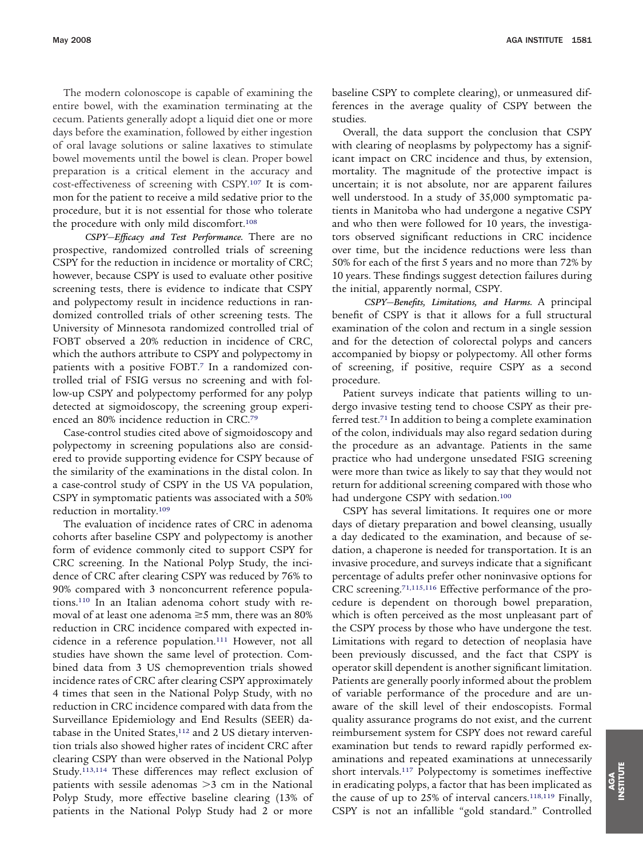The modern colonoscope is capable of examining the entire bowel, with the examination terminating at the cecum. Patients generally adopt a liquid diet one or more days before the examination, followed by either ingestion of oral lavage solutions or saline laxatives to stimulate bowel movements until the bowel is clean. Proper bowel preparation is a critical element in the accuracy and cost-effectiveness of screening with CSPY[.107](#page-22-0) It is common for the patient to receive a mild sedative prior to the procedure, but it is not essential for those who tolerate the procedure with only mild discomfort[.108](#page-22-0)

*CSPY—Efficacy and Test Performance.* There are no prospective, randomized controlled trials of screening CSPY for the reduction in incidence or mortality of CRC; however, because CSPY is used to evaluate other positive screening tests, there is evidence to indicate that CSPY and polypectomy result in incidence reductions in randomized controlled trials of other screening tests. The University of Minnesota randomized controlled trial of FOBT observed a 20% reduction in incidence of CRC, which the authors attribute to CSPY and polypectomy in patients with a positive FOBT[.7](#page-20-0) In a randomized controlled trial of FSIG versus no screening and with follow-up CSPY and polypectomy performed for any polyp detected at sigmoidoscopy, the screening group experienced an 80% incidence reduction in CRC[.79](#page-21-0)

Case-control studies cited above of sigmoidoscopy and polypectomy in screening populations also are considered to provide supporting evidence for CSPY because of the similarity of the examinations in the distal colon. In a case-control study of CSPY in the US VA population, CSPY in symptomatic patients was associated with a 50% reduction in mortality[.109](#page-22-0)

The evaluation of incidence rates of CRC in adenoma cohorts after baseline CSPY and polypectomy is another form of evidence commonly cited to support CSPY for CRC screening. In the National Polyp Study, the incidence of CRC after clearing CSPY was reduced by 76% to 90% compared with 3 nonconcurrent reference populations[.110](#page-22-0) In an Italian adenoma cohort study with removal of at least one adenoma  $\geq$ 5 mm, there was an 80% reduction in CRC incidence compared with expected incidence in a reference population[.111](#page-22-0) However, not all studies have shown the same level of protection. Combined data from 3 US chemoprevention trials showed incidence rates of CRC after clearing CSPY approximately 4 times that seen in the National Polyp Study, with no reduction in CRC incidence compared with data from the Surveillance Epidemiology and End Results (SEER) database in the United States,<sup>112</sup> and 2 US dietary intervention trials also showed higher rates of incident CRC after clearing CSPY than were observed in the National Polyp Study[.113,114](#page-22-0) These differences may reflect exclusion of patients with sessile adenomas  $>3$  cm in the National Polyp Study, more effective baseline clearing (13% of patients in the National Polyp Study had 2 or more

baseline CSPY to complete clearing), or unmeasured differences in the average quality of CSPY between the studies.

Overall, the data support the conclusion that CSPY with clearing of neoplasms by polypectomy has a significant impact on CRC incidence and thus, by extension, mortality. The magnitude of the protective impact is uncertain; it is not absolute, nor are apparent failures well understood. In a study of 35,000 symptomatic patients in Manitoba who had undergone a negative CSPY and who then were followed for 10 years, the investigators observed significant reductions in CRC incidence over time, but the incidence reductions were less than 50% for each of the first 5 years and no more than 72% by 10 years. These findings suggest detection failures during the initial, apparently normal, CSPY.

*CSPY—Benefits, Limitations, and Harms.* A principal benefit of CSPY is that it allows for a full structural examination of the colon and rectum in a single session and for the detection of colorectal polyps and cancers accompanied by biopsy or polypectomy. All other forms of screening, if positive, require CSPY as a second procedure.

Patient surveys indicate that patients willing to undergo invasive testing tend to choose CSPY as their preferred test[.71](#page-21-0) In addition to being a complete examination of the colon, individuals may also regard sedation during the procedure as an advantage. Patients in the same practice who had undergone unsedated FSIG screening were more than twice as likely to say that they would not return for additional screening compared with those who had undergone CSPY with sedation.<sup>100</sup>

CSPY has several limitations. It requires one or more days of dietary preparation and bowel cleansing, usually a day dedicated to the examination, and because of sedation, a chaperone is needed for transportation. It is an invasive procedure, and surveys indicate that a significant percentage of adults prefer other noninvasive options for CRC screening[.71,115,116](#page-21-0) Effective performance of the procedure is dependent on thorough bowel preparation, which is often perceived as the most unpleasant part of the CSPY process by those who have undergone the test. Limitations with regard to detection of neoplasia have been previously discussed, and the fact that CSPY is operator skill dependent is another significant limitation. Patients are generally poorly informed about the problem of variable performance of the procedure and are unaware of the skill level of their endoscopists. Formal quality assurance programs do not exist, and the current reimbursement system for CSPY does not reward careful examination but tends to reward rapidly performed examinations and repeated examinations at unnecessarily short intervals[.117](#page-22-0) Polypectomy is sometimes ineffective in eradicating polyps, a factor that has been implicated as the cause of up to 25% of interval cancers.<sup>118,119</sup> Finally, CSPY is not an infallible "gold standard." Controlled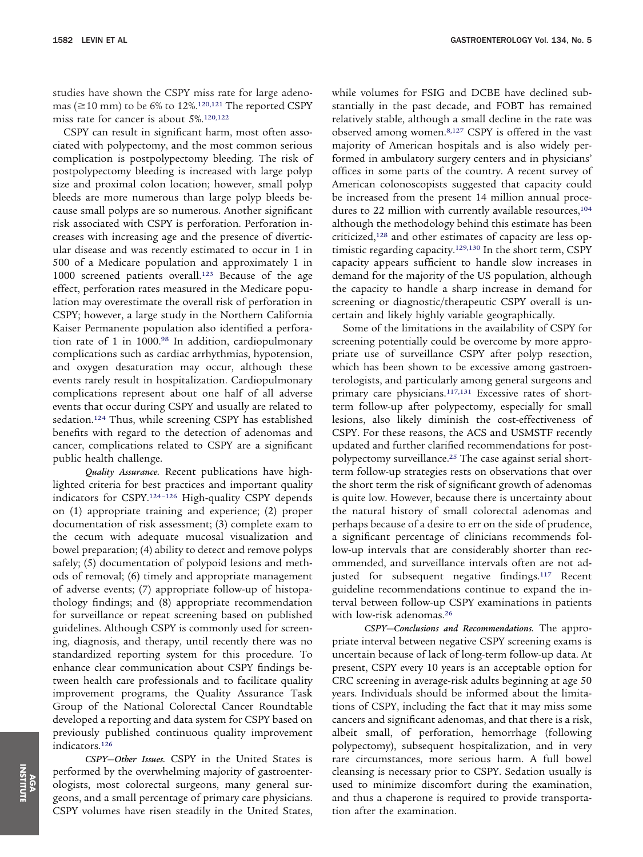studies have shown the CSPY miss rate for large adenomas ( $\geq$ 10 mm) to be 6% to 12%.<sup>120,121</sup> The reported CSPY miss rate for cancer is about 5%[.120,122](#page-22-0)

CSPY can result in significant harm, most often associated with polypectomy, and the most common serious complication is postpolypectomy bleeding. The risk of postpolypectomy bleeding is increased with large polyp size and proximal colon location; however, small polyp bleeds are more numerous than large polyp bleeds because small polyps are so numerous. Another significant risk associated with CSPY is perforation. Perforation increases with increasing age and the presence of diverticular disease and was recently estimated to occur in 1 in 500 of a Medicare population and approximately 1 in 1000 screened patients overall[.123](#page-22-0) Because of the age effect, perforation rates measured in the Medicare population may overestimate the overall risk of perforation in CSPY; however, a large study in the Northern California Kaiser Permanente population also identified a perforation rate of 1 in 1000[.98](#page-22-0) In addition, cardiopulmonary complications such as cardiac arrhythmias, hypotension, and oxygen desaturation may occur, although these events rarely result in hospitalization. Cardiopulmonary complications represent about one half of all adverse events that occur during CSPY and usually are related to sedation.<sup>124</sup> Thus, while screening CSPY has established benefits with regard to the detection of adenomas and cancer, complications related to CSPY are a significant public health challenge.

*Quality Assurance.* Recent publications have highlighted criteria for best practices and important quality indicators for CSPY[.124 –126](#page-22-0) High-quality CSPY depends on (1) appropriate training and experience; (2) proper documentation of risk assessment; (3) complete exam to the cecum with adequate mucosal visualization and bowel preparation; (4) ability to detect and remove polyps safely; (5) documentation of polypoid lesions and methods of removal; (6) timely and appropriate management of adverse events; (7) appropriate follow-up of histopathology findings; and (8) appropriate recommendation for surveillance or repeat screening based on published guidelines. Although CSPY is commonly used for screening, diagnosis, and therapy, until recently there was no standardized reporting system for this procedure. To enhance clear communication about CSPY findings between health care professionals and to facilitate quality improvement programs, the Quality Assurance Task Group of the National Colorectal Cancer Roundtable developed a reporting and data system for CSPY based on previously published continuous quality improvement indicators[.126](#page-22-0)

*CSPY—Other Issues.* CSPY in the United States is performed by the overwhelming majority of gastroenterologists, most colorectal surgeons, many general surgeons, and a small percentage of primary care physicians. CSPY volumes have risen steadily in the United States, while volumes for FSIG and DCBE have declined substantially in the past decade, and FOBT has remained relatively stable, although a small decline in the rate was observed among women[.8,127](#page-20-0) CSPY is offered in the vast majority of American hospitals and is also widely performed in ambulatory surgery centers and in physicians' offices in some parts of the country. A recent survey of American colonoscopists suggested that capacity could be increased from the present 14 million annual procedures to 22 million with currently available resources,<sup>104</sup> although the methodology behind this estimate has been criticized[,128](#page-23-0) and other estimates of capacity are less optimistic regarding capacity[.129,130](#page-23-0) In the short term, CSPY capacity appears sufficient to handle slow increases in demand for the majority of the US population, although the capacity to handle a sharp increase in demand for screening or diagnostic/therapeutic CSPY overall is uncertain and likely highly variable geographically.

Some of the limitations in the availability of CSPY for screening potentially could be overcome by more appropriate use of surveillance CSPY after polyp resection, which has been shown to be excessive among gastroenterologists, and particularly among general surgeons and primary care physicians.<sup>117,131</sup> Excessive rates of shortterm follow-up after polypectomy, especially for small lesions, also likely diminish the cost-effectiveness of CSPY. For these reasons, the ACS and USMSTF recently updated and further clarified recommendations for postpolypectomy surveillance.<sup>25</sup> The case against serial shortterm follow-up strategies rests on observations that over the short term the risk of significant growth of adenomas is quite low. However, because there is uncertainty about the natural history of small colorectal adenomas and perhaps because of a desire to err on the side of prudence, a significant percentage of clinicians recommends follow-up intervals that are considerably shorter than recommended, and surveillance intervals often are not adjusted for subsequent negative findings.<sup>117</sup> Recent guideline recommendations continue to expand the interval between follow-up CSPY examinations in patients with low-risk adenomas[.26](#page-20-0)

*CSPY—Conclusions and Recommendations.* The appropriate interval between negative CSPY screening exams is uncertain because of lack of long-term follow-up data. At present, CSPY every 10 years is an acceptable option for CRC screening in average-risk adults beginning at age 50 years. Individuals should be informed about the limitations of CSPY, including the fact that it may miss some cancers and significant adenomas, and that there is a risk, albeit small, of perforation, hemorrhage (following polypectomy), subsequent hospitalization, and in very rare circumstances, more serious harm. A full bowel cleansing is necessary prior to CSPY. Sedation usually is used to minimize discomfort during the examination, and thus a chaperone is required to provide transportation after the examination.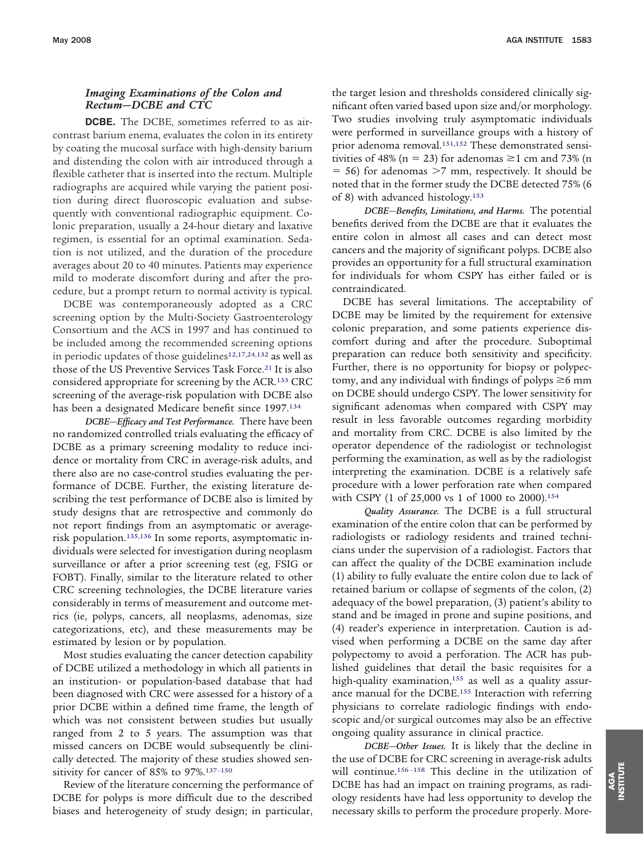## *Imaging Examinations of the Colon and Rectum—DCBE and CTC*

**DCBE.** The DCBE, sometimes referred to as aircontrast barium enema, evaluates the colon in its entirety by coating the mucosal surface with high-density barium and distending the colon with air introduced through a flexible catheter that is inserted into the rectum. Multiple radiographs are acquired while varying the patient position during direct fluoroscopic evaluation and subsequently with conventional radiographic equipment. Colonic preparation, usually a 24-hour dietary and laxative regimen, is essential for an optimal examination. Sedation is not utilized, and the duration of the procedure averages about 20 to 40 minutes. Patients may experience mild to moderate discomfort during and after the procedure, but a prompt return to normal activity is typical.

DCBE was contemporaneously adopted as a CRC screening option by the Multi-Society Gastroenterology Consortium and the ACS in 1997 and has continued to be included among the recommended screening options in periodic updates of those guidelines<sup>12,17,24,132</sup> as well as those of the US Preventive Services Task Force[.21](#page-20-0) It is also considered appropriate for screening by the ACR[.133](#page-23-0) CRC screening of the average-risk population with DCBE also has been a designated Medicare benefit since 1997[.134](#page-23-0)

*DCBE—Efficacy and Test Performance.* There have been no randomized controlled trials evaluating the efficacy of DCBE as a primary screening modality to reduce incidence or mortality from CRC in average-risk adults, and there also are no case-control studies evaluating the performance of DCBE. Further, the existing literature describing the test performance of DCBE also is limited by study designs that are retrospective and commonly do not report findings from an asymptomatic or averagerisk population[.135,136](#page-23-0) In some reports, asymptomatic individuals were selected for investigation during neoplasm surveillance or after a prior screening test (eg, FSIG or FOBT). Finally, similar to the literature related to other CRC screening technologies, the DCBE literature varies considerably in terms of measurement and outcome metrics (ie, polyps, cancers, all neoplasms, adenomas, size categorizations, etc), and these measurements may be estimated by lesion or by population.

Most studies evaluating the cancer detection capability of DCBE utilized a methodology in which all patients in an institution- or population-based database that had been diagnosed with CRC were assessed for a history of a prior DCBE within a defined time frame, the length of which was not consistent between studies but usually ranged from 2 to 5 years. The assumption was that missed cancers on DCBE would subsequently be clinically detected. The majority of these studies showed sensitivity for cancer of 85% to 97%[.137–150](#page-23-0)

Review of the literature concerning the performance of DCBE for polyps is more difficult due to the described biases and heterogeneity of study design; in particular,

the target lesion and thresholds considered clinically significant often varied based upon size and/or morphology. Two studies involving truly asymptomatic individuals were performed in surveillance groups with a history of prior adenoma removal[.151,152](#page-23-0) These demonstrated sensitivities of 48% (n = 23) for adenomas  $\geq$ 1 cm and 73% (n  $=$  56) for adenomas  $>7$  mm, respectively. It should be noted that in the former study the DCBE detected 75% (6 of 8) with advanced histology[.153](#page-23-0)

*DCBE—Benefits, Limitations, and Harms.* The potential benefits derived from the DCBE are that it evaluates the entire colon in almost all cases and can detect most cancers and the majority of significant polyps. DCBE also provides an opportunity for a full structural examination for individuals for whom CSPY has either failed or is contraindicated.

DCBE has several limitations. The acceptability of DCBE may be limited by the requirement for extensive colonic preparation, and some patients experience discomfort during and after the procedure. Suboptimal preparation can reduce both sensitivity and specificity. Further, there is no opportunity for biopsy or polypectomy, and any individual with findings of polyps  $\geq 6$  mm on DCBE should undergo CSPY. The lower sensitivity for significant adenomas when compared with CSPY may result in less favorable outcomes regarding morbidity and mortality from CRC. DCBE is also limited by the operator dependence of the radiologist or technologist performing the examination, as well as by the radiologist interpreting the examination. DCBE is a relatively safe procedure with a lower perforation rate when compared with CSPY (1 of 25,000 vs 1 of 1000 to 2000)[.154](#page-23-0)

*Quality Assurance.* The DCBE is a full structural examination of the entire colon that can be performed by radiologists or radiology residents and trained technicians under the supervision of a radiologist. Factors that can affect the quality of the DCBE examination include (1) ability to fully evaluate the entire colon due to lack of retained barium or collapse of segments of the colon, (2) adequacy of the bowel preparation, (3) patient's ability to stand and be imaged in prone and supine positions, and (4) reader's experience in interpretation. Caution is advised when performing a DCBE on the same day after polypectomy to avoid a perforation. The ACR has published guidelines that detail the basic requisites for a high-quality examination,<sup>155</sup> as well as a quality assurance manual for the DCBE.<sup>155</sup> Interaction with referring physicians to correlate radiologic findings with endoscopic and/or surgical outcomes may also be an effective ongoing quality assurance in clinical practice.

*DCBE—Other Issues.* It is likely that the decline in the use of DCBE for CRC screening in average-risk adults will continue.<sup>156-158</sup> This decline in the utilization of DCBE has had an impact on training programs, as radiology residents have had less opportunity to develop the necessary skills to perform the procedure properly. More-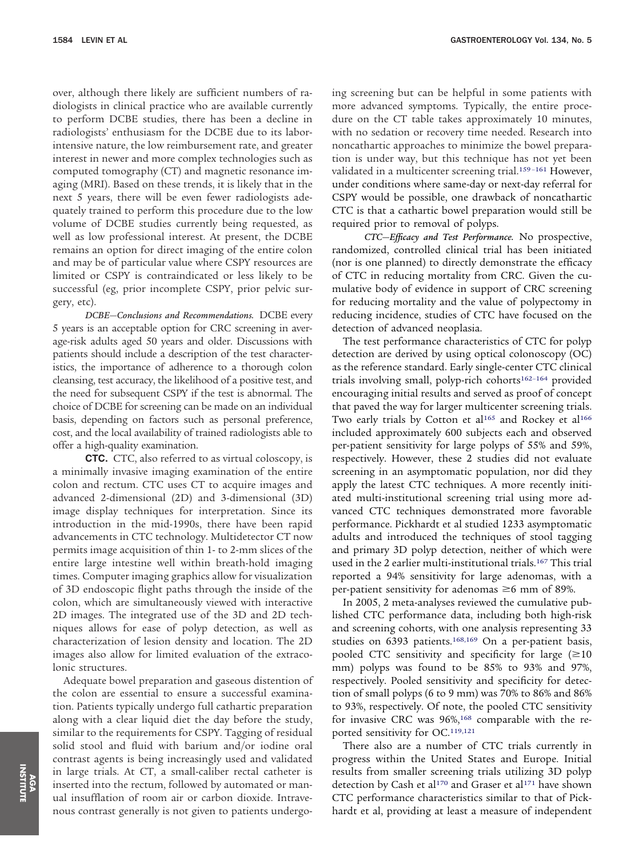over, although there likely are sufficient numbers of radiologists in clinical practice who are available currently to perform DCBE studies, there has been a decline in radiologists' enthusiasm for the DCBE due to its laborintensive nature, the low reimbursement rate, and greater interest in newer and more complex technologies such as computed tomography (CT) and magnetic resonance imaging (MRI). Based on these trends, it is likely that in the next 5 years, there will be even fewer radiologists adequately trained to perform this procedure due to the low volume of DCBE studies currently being requested, as well as low professional interest. At present, the DCBE remains an option for direct imaging of the entire colon and may be of particular value where CSPY resources are limited or CSPY is contraindicated or less likely to be successful (eg, prior incomplete CSPY, prior pelvic surgery, etc).

*DCBE—Conclusions and Recommendations.* DCBE every 5 years is an acceptable option for CRC screening in average-risk adults aged 50 years and older. Discussions with patients should include a description of the test characteristics, the importance of adherence to a thorough colon cleansing, test accuracy, the likelihood of a positive test, and the need for subsequent CSPY if the test is abnormal. The choice of DCBE for screening can be made on an individual basis, depending on factors such as personal preference, cost, and the local availability of trained radiologists able to offer a high-quality examination.

**CTC.** CTC, also referred to as virtual coloscopy, is a minimally invasive imaging examination of the entire colon and rectum. CTC uses CT to acquire images and advanced 2-dimensional (2D) and 3-dimensional (3D) image display techniques for interpretation. Since its introduction in the mid-1990s, there have been rapid advancements in CTC technology. Multidetector CT now permits image acquisition of thin 1- to 2-mm slices of the entire large intestine well within breath-hold imaging times. Computer imaging graphics allow for visualization of 3D endoscopic flight paths through the inside of the colon, which are simultaneously viewed with interactive 2D images. The integrated use of the 3D and 2D techniques allows for ease of polyp detection, as well as characterization of lesion density and location. The 2D images also allow for limited evaluation of the extracolonic structures.

Adequate bowel preparation and gaseous distention of the colon are essential to ensure a successful examination. Patients typically undergo full cathartic preparation along with a clear liquid diet the day before the study, similar to the requirements for CSPY. Tagging of residual solid stool and fluid with barium and/or iodine oral contrast agents is being increasingly used and validated in large trials. At CT, a small-caliber rectal catheter is inserted into the rectum, followed by automated or manual insufflation of room air or carbon dioxide. Intravenous contrast generally is not given to patients undergoing screening but can be helpful in some patients with more advanced symptoms. Typically, the entire procedure on the CT table takes approximately 10 minutes, with no sedation or recovery time needed. Research into noncathartic approaches to minimize the bowel preparation is under way, but this technique has not yet been validated in a multicenter screening trial.<sup>159-161</sup> However, under conditions where same-day or next-day referral for CSPY would be possible, one drawback of noncathartic CTC is that a cathartic bowel preparation would still be required prior to removal of polyps.

*CTC—Efficacy and Test Performance.* No prospective, randomized, controlled clinical trial has been initiated (nor is one planned) to directly demonstrate the efficacy of CTC in reducing mortality from CRC. Given the cumulative body of evidence in support of CRC screening for reducing mortality and the value of polypectomy in reducing incidence, studies of CTC have focused on the detection of advanced neoplasia.

The test performance characteristics of CTC for polyp detection are derived by using optical colonoscopy (OC) as the reference standard. Early single-center CTC clinical trials involving small, polyp-rich cohorts<sup>162-164</sup> provided encouraging initial results and served as proof of concept that paved the way for larger multicenter screening trials. Two early trials by Cotton et al<sup>165</sup> and Rockey et al<sup>166</sup> included approximately 600 subjects each and observed per-patient sensitivity for large polyps of 55% and 59%, respectively. However, these 2 studies did not evaluate screening in an asymptomatic population, nor did they apply the latest CTC techniques. A more recently initiated multi-institutional screening trial using more advanced CTC techniques demonstrated more favorable performance. Pickhardt et al studied 1233 asymptomatic adults and introduced the techniques of stool tagging and primary 3D polyp detection, neither of which were used in the 2 earlier multi-institutional trials[.167](#page-23-0) This trial reported a 94% sensitivity for large adenomas, with a per-patient sensitivity for adenomas  $\geq 6$  mm of 89%.

In 2005, 2 meta-analyses reviewed the cumulative published CTC performance data, including both high-risk and screening cohorts, with one analysis representing 33 studies on 6393 patients.<sup>168,169</sup> On a per-patient basis, pooled CTC sensitivity and specificity for large  $(\geq 10$ mm) polyps was found to be 85% to 93% and 97%, respectively. Pooled sensitivity and specificity for detection of small polyps (6 to 9 mm) was 70% to 86% and 86% to 93%, respectively. Of note, the pooled CTC sensitivity for invasive CRC was 96%,<sup>168</sup> comparable with the reported sensitivity for OC[.119,121](#page-22-0)

There also are a number of CTC trials currently in progress within the United States and Europe. Initial results from smaller screening trials utilizing 3D polyp detection by Cash et al<sup>170</sup> and Graser et al<sup>171</sup> have shown CTC performance characteristics similar to that of Pickhardt et al, providing at least a measure of independent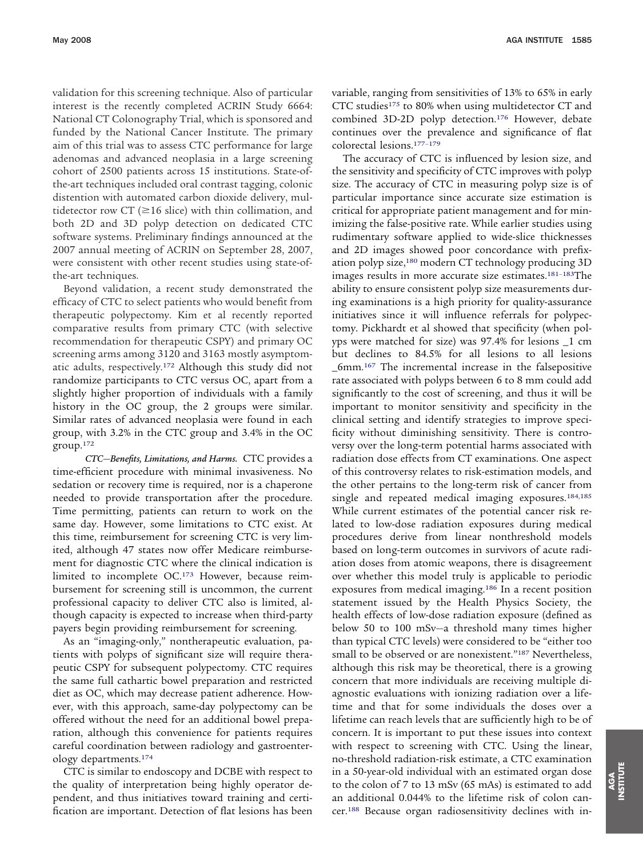validation for this screening technique. Also of particular interest is the recently completed ACRIN Study 6664: National CT Colonography Trial, which is sponsored and funded by the National Cancer Institute. The primary aim of this trial was to assess CTC performance for large adenomas and advanced neoplasia in a large screening cohort of 2500 patients across 15 institutions. State-ofthe-art techniques included oral contrast tagging, colonic distention with automated carbon dioxide delivery, multidetector row CT ( $\geq$ 16 slice) with thin collimation, and both 2D and 3D polyp detection on dedicated CTC software systems. Preliminary findings announced at the 2007 annual meeting of ACRIN on September 28, 2007, were consistent with other recent studies using state-ofthe-art techniques.

Beyond validation, a recent study demonstrated the efficacy of CTC to select patients who would benefit from therapeutic polypectomy. Kim et al recently reported comparative results from primary CTC (with selective recommendation for therapeutic CSPY) and primary OC screening arms among 3120 and 3163 mostly asymptomatic adults, respectively[.172](#page-24-0) Although this study did not randomize participants to CTC versus OC, apart from a slightly higher proportion of individuals with a family history in the OC group, the 2 groups were similar. Similar rates of advanced neoplasia were found in each group, with 3.2% in the CTC group and 3.4% in the OC group[.172](#page-24-0)

*CTC—Benefits, Limitations, and Harms.* CTC provides a time-efficient procedure with minimal invasiveness. No sedation or recovery time is required, nor is a chaperone needed to provide transportation after the procedure. Time permitting, patients can return to work on the same day. However, some limitations to CTC exist. At this time, reimbursement for screening CTC is very limited, although 47 states now offer Medicare reimbursement for diagnostic CTC where the clinical indication is limited to incomplete OC[.173](#page-24-0) However, because reimbursement for screening still is uncommon, the current professional capacity to deliver CTC also is limited, although capacity is expected to increase when third-party payers begin providing reimbursement for screening.

As an "imaging-only," nontherapeutic evaluation, patients with polyps of significant size will require therapeutic CSPY for subsequent polypectomy. CTC requires the same full cathartic bowel preparation and restricted diet as OC, which may decrease patient adherence. However, with this approach, same-day polypectomy can be offered without the need for an additional bowel preparation, although this convenience for patients requires careful coordination between radiology and gastroenterology departments[.174](#page-24-0)

CTC is similar to endoscopy and DCBE with respect to the quality of interpretation being highly operator dependent, and thus initiatives toward training and certification are important. Detection of flat lesions has been variable, ranging from sensitivities of 13% to 65% in early CTC studies<sup>175</sup> to 80% when using multidetector CT and combined 3D-2D polyp detection[.176](#page-24-0) However, debate continues over the prevalence and significance of flat colorectal lesions[.177–179](#page-24-0)

The accuracy of CTC is influenced by lesion size, and the sensitivity and specificity of CTC improves with polyp size. The accuracy of CTC in measuring polyp size is of particular importance since accurate size estimation is critical for appropriate patient management and for minimizing the false-positive rate. While earlier studies using rudimentary software applied to wide-slice thicknesses and 2D images showed poor concordance with prefixation polyp size,<sup>180</sup> modern CT technology producing 3D images results in more accurate size estimates[.181–183T](#page-24-0)he ability to ensure consistent polyp size measurements during examinations is a high priority for quality-assurance initiatives since it will influence referrals for polypectomy. Pickhardt et al showed that specificity (when polyps were matched for size) was 97.4% for lesions \_1 cm but declines to 84.5% for all lesions to all lesions \_6mm[.167](#page-23-0) The incremental increase in the falsepositive rate associated with polyps between 6 to 8 mm could add significantly to the cost of screening, and thus it will be important to monitor sensitivity and specificity in the clinical setting and identify strategies to improve specificity without diminishing sensitivity. There is controversy over the long-term potential harms associated with radiation dose effects from CT examinations. One aspect of this controversy relates to risk-estimation models, and the other pertains to the long-term risk of cancer from single and repeated medical imaging exposures.<sup>184,185</sup> While current estimates of the potential cancer risk related to low-dose radiation exposures during medical procedures derive from linear nonthreshold models based on long-term outcomes in survivors of acute radiation doses from atomic weapons, there is disagreement over whether this model truly is applicable to periodic exposures from medical imaging[.186](#page-24-0) In a recent position statement issued by the Health Physics Society, the health effects of low-dose radiation exposure (defined as below 50 to 100 mSv—a threshold many times higher than typical CTC levels) were considered to be "either too small to be observed or are nonexistent."<sup>187</sup> Nevertheless, although this risk may be theoretical, there is a growing concern that more individuals are receiving multiple diagnostic evaluations with ionizing radiation over a lifetime and that for some individuals the doses over a lifetime can reach levels that are sufficiently high to be of concern. It is important to put these issues into context with respect to screening with CTC. Using the linear, no-threshold radiation-risk estimate, a CTC examination in a 50-year-old individual with an estimated organ dose to the colon of 7 to 13 mSv (65 mAs) is estimated to add an additional 0.044% to the lifetime risk of colon cancer[.188](#page-24-0) Because organ radiosensitivity declines with in-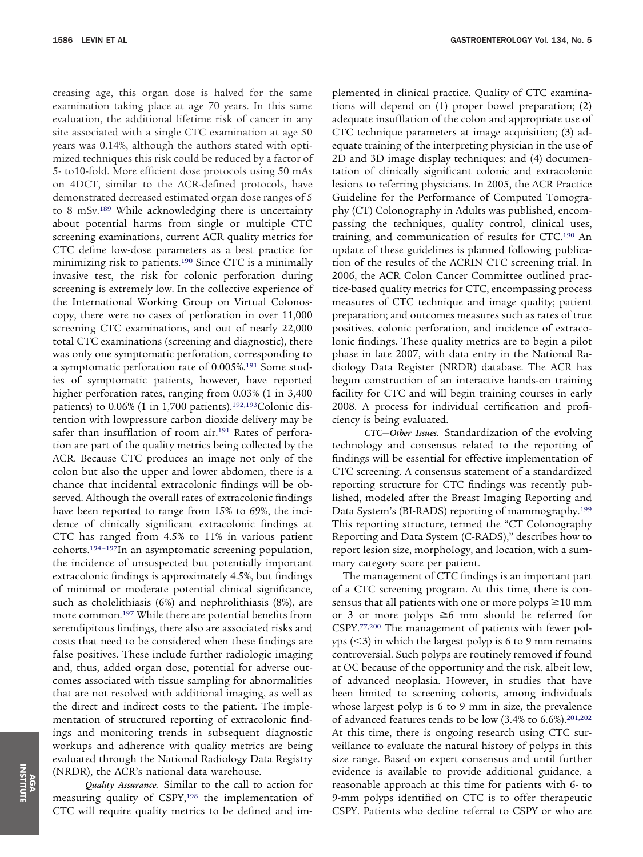creasing age, this organ dose is halved for the same examination taking place at age 70 years. In this same evaluation, the additional lifetime risk of cancer in any site associated with a single CTC examination at age 50 years was 0.14%, although the authors stated with optimized techniques this risk could be reduced by a factor of 5- to10-fold. More efficient dose protocols using 50 mAs on 4DCT, similar to the ACR-defined protocols, have demonstrated decreased estimated organ dose ranges of 5 to 8 mSv[.189](#page-24-0) While acknowledging there is uncertainty about potential harms from single or multiple CTC screening examinations, current ACR quality metrics for CTC define low-dose parameters as a best practice for minimizing risk to patients[.190](#page-24-0) Since CTC is a minimally invasive test, the risk for colonic perforation during screening is extremely low. In the collective experience of the International Working Group on Virtual Colonoscopy, there were no cases of perforation in over 11,000 screening CTC examinations, and out of nearly 22,000 total CTC examinations (screening and diagnostic), there was only one symptomatic perforation, corresponding to a symptomatic perforation rate of 0.005%[.191](#page-24-0) Some studies of symptomatic patients, however, have reported higher perforation rates, ranging from 0.03% (1 in 3,400 patients) to 0.06% (1 in 1,700 patients).<sup>192,193</sup>Colonic distention with lowpressure carbon dioxide delivery may be safer than insufflation of room air.<sup>191</sup> Rates of perforation are part of the quality metrics being collected by the ACR. Because CTC produces an image not only of the colon but also the upper and lower abdomen, there is a chance that incidental extracolonic findings will be observed. Although the overall rates of extracolonic findings have been reported to range from 15% to 69%, the incidence of clinically significant extracolonic findings at CTC has ranged from 4.5% to 11% in various patient cohorts[.194 –197I](#page-24-0)n an asymptomatic screening population, the incidence of unsuspected but potentially important extracolonic findings is approximately 4.5%, but findings of minimal or moderate potential clinical significance, such as cholelithiasis (6%) and nephrolithiasis (8%), are more common[.197](#page-24-0) While there are potential benefits from serendipitous findings, there also are associated risks and costs that need to be considered when these findings are false positives. These include further radiologic imaging and, thus, added organ dose, potential for adverse outcomes associated with tissue sampling for abnormalities that are not resolved with additional imaging, as well as the direct and indirect costs to the patient. The implementation of structured reporting of extracolonic findings and monitoring trends in subsequent diagnostic workups and adherence with quality metrics are being evaluated through the National Radiology Data Registry (NRDR), the ACR's national data warehouse.

*Quality Assurance.* Similar to the call to action for measuring quality of CSPY[,198](#page-24-0) the implementation of CTC will require quality metrics to be defined and im-

**AGA INSTITUTE**

plemented in clinical practice. Quality of CTC examinations will depend on (1) proper bowel preparation; (2) adequate insufflation of the colon and appropriate use of CTC technique parameters at image acquisition; (3) adequate training of the interpreting physician in the use of 2D and 3D image display techniques; and (4) documentation of clinically significant colonic and extracolonic lesions to referring physicians. In 2005, the ACR Practice Guideline for the Performance of Computed Tomography (CT) Colonography in Adults was published, encompassing the techniques, quality control, clinical uses, training, and communication of results for CTC[.190](#page-24-0) An update of these guidelines is planned following publication of the results of the ACRIN CTC screening trial. In 2006, the ACR Colon Cancer Committee outlined practice-based quality metrics for CTC, encompassing process measures of CTC technique and image quality; patient preparation; and outcomes measures such as rates of true positives, colonic perforation, and incidence of extracolonic findings. These quality metrics are to begin a pilot phase in late 2007, with data entry in the National Radiology Data Register (NRDR) database. The ACR has begun construction of an interactive hands-on training facility for CTC and will begin training courses in early 2008. A process for individual certification and proficiency is being evaluated.

*CTC—Other Issues.* Standardization of the evolving technology and consensus related to the reporting of findings will be essential for effective implementation of CTC screening. A consensus statement of a standardized reporting structure for CTC findings was recently published, modeled after the Breast Imaging Reporting and Data System's (BI-RADS) reporting of mammography[.199](#page-24-0) This reporting structure, termed the "CT Colonography Reporting and Data System (C-RADS)," describes how to report lesion size, morphology, and location, with a summary category score per patient.

The management of CTC findings is an important part of a CTC screening program. At this time, there is consensus that all patients with one or more polyps  $\geq 10$  mm or 3 or more polyps  $\geq 6$  mm should be referred for CSPY[.77,200](#page-21-0) The management of patients with fewer pol $yps \leq 3$  in which the largest polyp is 6 to 9 mm remains controversial. Such polyps are routinely removed if found at OC because of the opportunity and the risk, albeit low, of advanced neoplasia. However, in studies that have been limited to screening cohorts, among individuals whose largest polyp is 6 to 9 mm in size, the prevalence of advanced features tends to be low (3.4% to 6.6%)[.201,202](#page-24-0) At this time, there is ongoing research using CTC surveillance to evaluate the natural history of polyps in this size range. Based on expert consensus and until further evidence is available to provide additional guidance, a reasonable approach at this time for patients with 6- to 9-mm polyps identified on CTC is to offer therapeutic CSPY. Patients who decline referral to CSPY or who are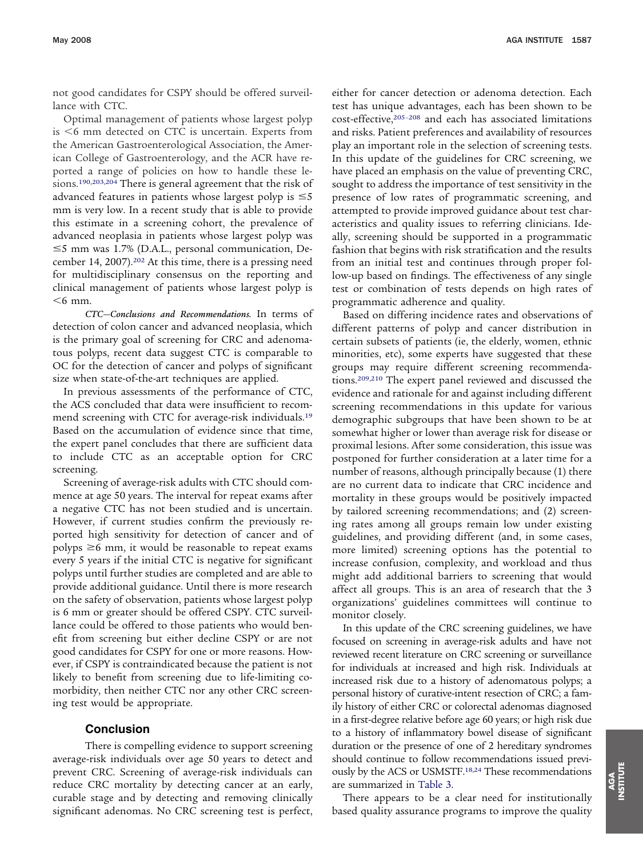not good candidates for CSPY should be offered surveillance with CTC.

Optimal management of patients whose largest polyp  $is < 6$  mm detected on CTC is uncertain. Experts from the American Gastroenterological Association, the American College of Gastroenterology, and the ACR have reported a range of policies on how to handle these lesions[.190,203,204](#page-24-0) There is general agreement that the risk of advanced features in patients whose largest polyp is  $\leq 5$ mm is very low. In a recent study that is able to provide this estimate in a screening cohort, the prevalence of advanced neoplasia in patients whose largest polyp was ≤5 mm was 1.7% (D.A.L., personal communication, December 14, 2007)[.202](#page-24-0) At this time, there is a pressing need for multidisciplinary consensus on the reporting and clinical management of patients whose largest polyp is  $<$ 6 mm.

*CTC—Conclusions and Recommendations.* In terms of detection of colon cancer and advanced neoplasia, which is the primary goal of screening for CRC and adenomatous polyps, recent data suggest CTC is comparable to OC for the detection of cancer and polyps of significant size when state-of-the-art techniques are applied.

In previous assessments of the performance of CTC, the ACS concluded that data were insufficient to recommend screening with CTC for average-risk individuals[.19](#page-20-0) Based on the accumulation of evidence since that time, the expert panel concludes that there are sufficient data to include CTC as an acceptable option for CRC screening.

Screening of average-risk adults with CTC should commence at age 50 years. The interval for repeat exams after a negative CTC has not been studied and is uncertain. However, if current studies confirm the previously reported high sensitivity for detection of cancer and of polyps  $\geq 6$  mm, it would be reasonable to repeat exams every 5 years if the initial CTC is negative for significant polyps until further studies are completed and are able to provide additional guidance. Until there is more research on the safety of observation, patients whose largest polyp is 6 mm or greater should be offered CSPY. CTC surveillance could be offered to those patients who would benefit from screening but either decline CSPY or are not good candidates for CSPY for one or more reasons. However, if CSPY is contraindicated because the patient is not likely to benefit from screening due to life-limiting comorbidity, then neither CTC nor any other CRC screening test would be appropriate.

#### **Conclusion**

There is compelling evidence to support screening average-risk individuals over age 50 years to detect and prevent CRC. Screening of average-risk individuals can reduce CRC mortality by detecting cancer at an early, curable stage and by detecting and removing clinically significant adenomas. No CRC screening test is perfect, either for cancer detection or adenoma detection. Each test has unique advantages, each has been shown to be cost-effective[,205–208](#page-24-0) and each has associated limitations and risks. Patient preferences and availability of resources play an important role in the selection of screening tests. In this update of the guidelines for CRC screening, we have placed an emphasis on the value of preventing CRC, sought to address the importance of test sensitivity in the presence of low rates of programmatic screening, and attempted to provide improved guidance about test characteristics and quality issues to referring clinicians. Ideally, screening should be supported in a programmatic fashion that begins with risk stratification and the results from an initial test and continues through proper follow-up based on findings. The effectiveness of any single test or combination of tests depends on high rates of programmatic adherence and quality.

Based on differing incidence rates and observations of different patterns of polyp and cancer distribution in certain subsets of patients (ie, the elderly, women, ethnic minorities, etc), some experts have suggested that these groups may require different screening recommendations[.209,210](#page-25-0) The expert panel reviewed and discussed the evidence and rationale for and against including different screening recommendations in this update for various demographic subgroups that have been shown to be at somewhat higher or lower than average risk for disease or proximal lesions. After some consideration, this issue was postponed for further consideration at a later time for a number of reasons, although principally because (1) there are no current data to indicate that CRC incidence and mortality in these groups would be positively impacted by tailored screening recommendations; and (2) screening rates among all groups remain low under existing guidelines, and providing different (and, in some cases, more limited) screening options has the potential to increase confusion, complexity, and workload and thus might add additional barriers to screening that would affect all groups. This is an area of research that the 3 organizations' guidelines committees will continue to monitor closely.

In this update of the CRC screening guidelines, we have focused on screening in average-risk adults and have not reviewed recent literature on CRC screening or surveillance for individuals at increased and high risk. Individuals at increased risk due to a history of adenomatous polyps; a personal history of curative-intent resection of CRC; a family history of either CRC or colorectal adenomas diagnosed in a first-degree relative before age 60 years; or high risk due to a history of inflammatory bowel disease of significant duration or the presence of one of 2 hereditary syndromes should continue to follow recommendations issued previously by the ACS or USMSTF[.18,24](#page-20-0) These recommendations are summarized in [Table 3.](#page-18-0)

There appears to be a clear need for institutionally based quality assurance programs to improve the quality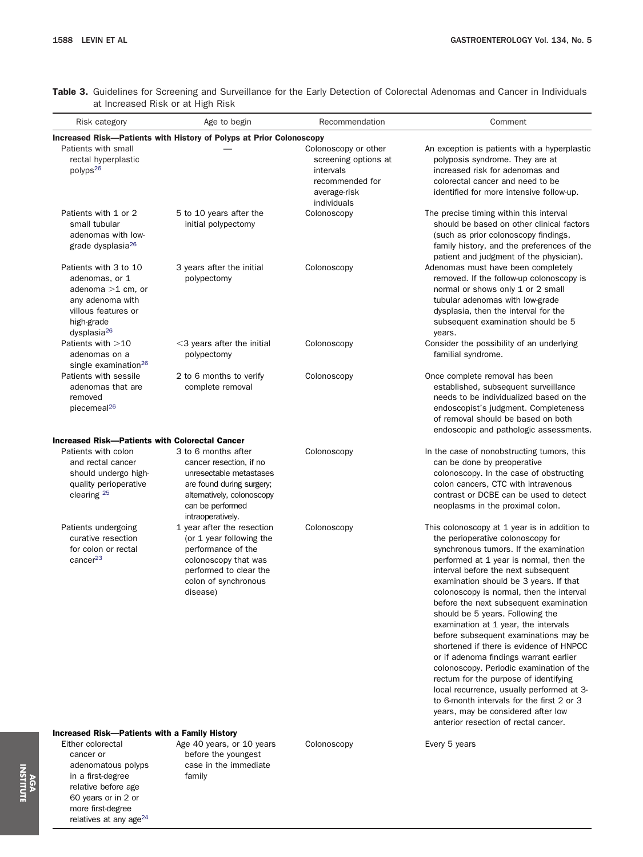| Risk category                                                                                                                                    | Age to begin                                                                                                                                                                  | Recommendation                                                                                              | Comment                                                                                                                                                                                                                                                                                                                                                                                                                                                                                                                                                                                                                                                                                                                                                                                                              |
|--------------------------------------------------------------------------------------------------------------------------------------------------|-------------------------------------------------------------------------------------------------------------------------------------------------------------------------------|-------------------------------------------------------------------------------------------------------------|----------------------------------------------------------------------------------------------------------------------------------------------------------------------------------------------------------------------------------------------------------------------------------------------------------------------------------------------------------------------------------------------------------------------------------------------------------------------------------------------------------------------------------------------------------------------------------------------------------------------------------------------------------------------------------------------------------------------------------------------------------------------------------------------------------------------|
|                                                                                                                                                  | Increased Risk-Patients with History of Polyps at Prior Colonoscopy                                                                                                           |                                                                                                             |                                                                                                                                                                                                                                                                                                                                                                                                                                                                                                                                                                                                                                                                                                                                                                                                                      |
| Patients with small<br>rectal hyperplastic<br>polyps <sup>26</sup>                                                                               |                                                                                                                                                                               | Colonoscopy or other<br>screening options at<br>intervals<br>recommended for<br>average-risk<br>individuals | An exception is patients with a hyperplastic<br>polyposis syndrome. They are at<br>increased risk for adenomas and<br>colorectal cancer and need to be<br>identified for more intensive follow-up.                                                                                                                                                                                                                                                                                                                                                                                                                                                                                                                                                                                                                   |
| Patients with 1 or 2<br>small tubular<br>adenomas with low-<br>grade dysplasia <sup>26</sup>                                                     | 5 to 10 years after the<br>initial polypectomy                                                                                                                                | Colonoscopy                                                                                                 | The precise timing within this interval<br>should be based on other clinical factors<br>(such as prior colonoscopy findings,<br>family history, and the preferences of the<br>patient and judgment of the physician).                                                                                                                                                                                                                                                                                                                                                                                                                                                                                                                                                                                                |
| Patients with 3 to 10<br>adenomas, or 1<br>adenoma >1 cm, or<br>any adenoma with<br>villous features or<br>high-grade<br>dysplasia <sup>26</sup> | 3 years after the initial<br>polypectomy                                                                                                                                      | Colonoscopy                                                                                                 | Adenomas must have been completely<br>removed. If the follow-up colonoscopy is<br>normal or shows only 1 or 2 small<br>tubular adenomas with low-grade<br>dysplasia, then the interval for the<br>subsequent examination should be 5<br>years.                                                                                                                                                                                                                                                                                                                                                                                                                                                                                                                                                                       |
| Patients with >10<br>adenomas on a<br>single examination <sup>26</sup>                                                                           | $<$ 3 years after the initial<br>polypectomy                                                                                                                                  | Colonoscopy                                                                                                 | Consider the possibility of an underlying<br>familial syndrome.                                                                                                                                                                                                                                                                                                                                                                                                                                                                                                                                                                                                                                                                                                                                                      |
| Patients with sessile<br>adenomas that are<br>removed<br>piecemeal <sup>26</sup>                                                                 | 2 to 6 months to verify<br>complete removal                                                                                                                                   | Colonoscopy                                                                                                 | Once complete removal has been<br>established, subsequent surveillance<br>needs to be individualized based on the<br>endoscopist's judgment. Completeness<br>of removal should be based on both<br>endoscopic and pathologic assessments.                                                                                                                                                                                                                                                                                                                                                                                                                                                                                                                                                                            |
| <b>Increased Risk—Patients with Colorectal Cancer</b>                                                                                            |                                                                                                                                                                               |                                                                                                             |                                                                                                                                                                                                                                                                                                                                                                                                                                                                                                                                                                                                                                                                                                                                                                                                                      |
| Patients with colon<br>and rectal cancer<br>should undergo high-<br>quality perioperative<br>clearing <sup>25</sup>                              | 3 to 6 months after<br>cancer resection, if no<br>unresectable metastases<br>are found during surgery;<br>alternatively, colonoscopy<br>can be performed<br>intraoperatively. | Colonoscopy                                                                                                 | In the case of nonobstructing tumors, this<br>can be done by preoperative<br>colonoscopy. In the case of obstructing<br>colon cancers, CTC with intravenous<br>contrast or DCBE can be used to detect<br>neoplasms in the proximal colon.                                                                                                                                                                                                                                                                                                                                                                                                                                                                                                                                                                            |
| Patients undergoing<br>curative resection<br>for colon or rectal<br>cancer <sup>23</sup>                                                         | 1 year after the resection<br>(or 1 year following the<br>performance of the<br>colonoscopy that was<br>performed to clear the<br>colon of synchronous<br>disease)            | Colonoscopy                                                                                                 | This colonoscopy at 1 year is in addition to<br>the perioperative colonoscopy for<br>synchronous tumors. If the examination<br>performed at 1 year is normal, then the<br>interval before the next subsequent<br>examination should be 3 years. If that<br>colonoscopy is normal, then the interval<br>before the next subsequent examination<br>should be 5 years. Following the<br>examination at 1 year, the intervals<br>before subsequent examinations may be<br>shortened if there is evidence of HNPCC<br>or if adenoma findings warrant earlier<br>colonoscopy. Periodic examination of the<br>rectum for the purpose of identifying<br>local recurrence, usually performed at 3-<br>to 6-month intervals for the first 2 or 3<br>years, may be considered after low<br>anterior resection of rectal cancer. |

<span id="page-18-0"></span>Table 3. Guidelines for Screening and Surveillance for the Early Detection of Colorectal Adenomas and Cancer in Individuals at Increased Risk or at High Risk

#### Increased Risk—Patients with a Family History

Either colorectal cancer or adenomatous polyps in a first-degree relative before age 60 years or in 2 or more first-degree relatives at any age<sup>24</sup>

Age 40 years, or 10 years before the youngest case in the immediate family

Colonoscopy **Every 5 years**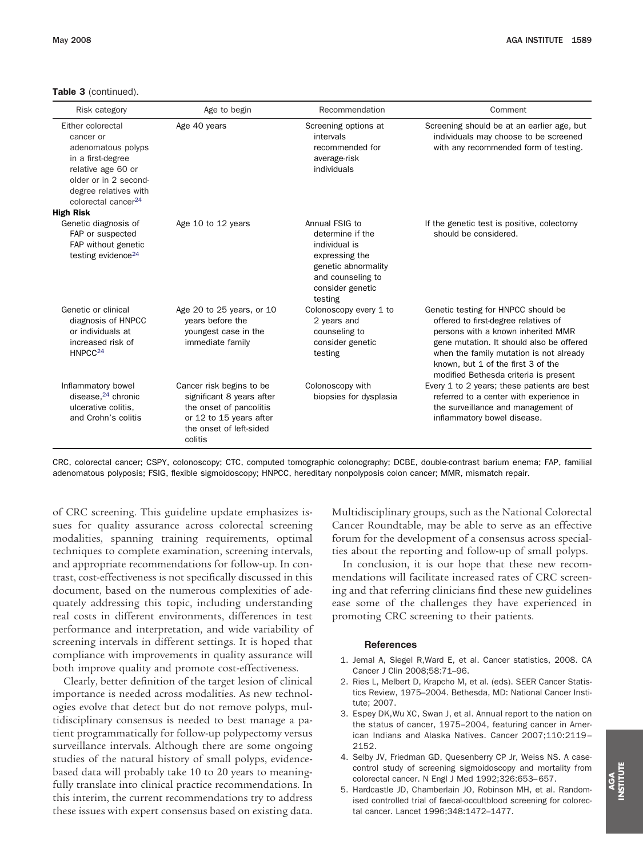| Risk category                                                                                                                                                                        | Age to begin                                                                                                                                      | Recommendation                                                                                                                                   | Comment                                                                                                                                                                                                                                                                                 |
|--------------------------------------------------------------------------------------------------------------------------------------------------------------------------------------|---------------------------------------------------------------------------------------------------------------------------------------------------|--------------------------------------------------------------------------------------------------------------------------------------------------|-----------------------------------------------------------------------------------------------------------------------------------------------------------------------------------------------------------------------------------------------------------------------------------------|
| Either colorectal<br>cancer or<br>adenomatous polyps<br>in a first-degree<br>relative age 60 or<br>older or in 2 second-<br>degree relatives with<br>colorectal cancer <sup>24</sup> | Age 40 years                                                                                                                                      | Screening options at<br>intervals<br>recommended for<br>average-risk<br>individuals                                                              | Screening should be at an earlier age, but<br>individuals may choose to be screened<br>with any recommended form of testing.                                                                                                                                                            |
| High Risk                                                                                                                                                                            |                                                                                                                                                   |                                                                                                                                                  |                                                                                                                                                                                                                                                                                         |
| Genetic diagnosis of<br>FAP or suspected<br>FAP without genetic<br>testing evidence <sup>24</sup>                                                                                    | Age 10 to 12 years                                                                                                                                | Annual FSIG to<br>determine if the<br>individual is<br>expressing the<br>genetic abnormality<br>and counseling to<br>consider genetic<br>testing | If the genetic test is positive, colectomy<br>should be considered.                                                                                                                                                                                                                     |
| Genetic or clinical<br>diagnosis of HNPCC<br>or individuals at<br>increased risk of<br>HNPCC <sup>24</sup>                                                                           | Age 20 to 25 years, or 10<br>vears before the<br>youngest case in the<br>immediate family                                                         | Colonoscopy every 1 to<br>2 years and<br>counseling to<br>consider genetic<br>testing                                                            | Genetic testing for HNPCC should be<br>offered to first-degree relatives of<br>persons with a known inherited MMR<br>gene mutation. It should also be offered<br>when the family mutation is not already<br>known, but 1 of the first 3 of the<br>modified Bethesda criteria is present |
| Inflammatory bowel<br>disease, $24$ chronic<br>ulcerative colitis.<br>and Crohn's colitis                                                                                            | Cancer risk begins to be<br>significant 8 years after<br>the onset of pancolitis<br>or 12 to 15 years after<br>the onset of left-sided<br>colitis | Colonoscopy with<br>biopsies for dysplasia                                                                                                       | Every 1 to 2 years; these patients are best<br>referred to a center with experience in<br>the surveillance and management of<br>inflammatory bowel disease.                                                                                                                             |

#### <span id="page-19-0"></span>Table 3 (continued).

CRC, colorectal cancer; CSPY, colonoscopy; CTC, computed tomographic colonography; DCBE, double-contrast barium enema; FAP, familial adenomatous polyposis; FSIG, flexible sigmoidoscopy; HNPCC, hereditary nonpolyposis colon cancer; MMR, mismatch repair.

of CRC screening. This guideline update emphasizes issues for quality assurance across colorectal screening modalities, spanning training requirements, optimal techniques to complete examination, screening intervals, and appropriate recommendations for follow-up. In contrast, cost-effectiveness is not specifically discussed in this document, based on the numerous complexities of adequately addressing this topic, including understanding real costs in different environments, differences in test performance and interpretation, and wide variability of screening intervals in different settings. It is hoped that compliance with improvements in quality assurance will both improve quality and promote cost-effectiveness.

Clearly, better definition of the target lesion of clinical importance is needed across modalities. As new technologies evolve that detect but do not remove polyps, multidisciplinary consensus is needed to best manage a patient programmatically for follow-up polypectomy versus surveillance intervals. Although there are some ongoing studies of the natural history of small polyps, evidencebased data will probably take 10 to 20 years to meaningfully translate into clinical practice recommendations. In this interim, the current recommendations try to address these issues with expert consensus based on existing data.

Multidisciplinary groups, such as the National Colorectal Cancer Roundtable, may be able to serve as an effective forum for the development of a consensus across specialties about the reporting and follow-up of small polyps.

In conclusion, it is our hope that these new recommendations will facilitate increased rates of CRC screening and that referring clinicians find these new guidelines ease some of the challenges they have experienced in promoting CRC screening to their patients.

#### **References**

- 1. Jemal A, Siegel R,Ward E, et al. Cancer statistics, 2008. CA Cancer J Clin 2008;58:71–96.
- 2. Ries L, Melbert D, Krapcho M, et al. (eds). SEER Cancer Statistics Review, 1975–2004. Bethesda, MD: National Cancer Institute; 2007.
- 3. Espey DK,Wu XC, Swan J, et al. Annual report to the nation on the status of cancer, 1975–2004, featuring cancer in American Indians and Alaska Natives. Cancer 2007;110:2119 – 2152.
- 4. Selby JV, Friedman GD, Quesenberry CP Jr, Weiss NS. A casecontrol study of screening sigmoidoscopy and mortality from colorectal cancer. N Engl J Med 1992;326:653–657.
- 5. Hardcastle JD, Chamberlain JO, Robinson MH, et al. Randomised controlled trial of faecal-occultblood screening for colorectal cancer. Lancet 1996;348:1472–1477.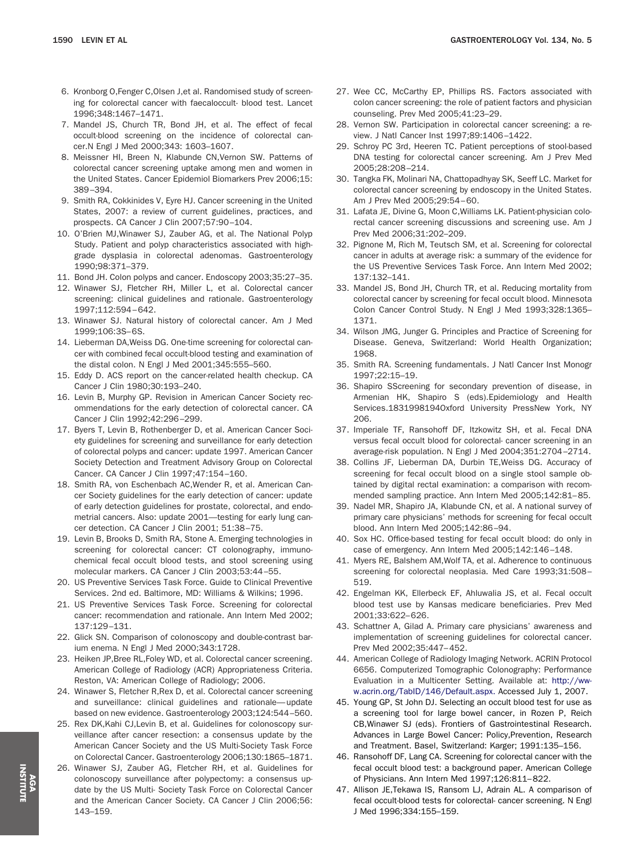- <span id="page-20-0"></span>6. Kronborg O,Fenger C,Olsen J,et al. Randomised study of screening for colorectal cancer with faecaloccult- blood test. Lancet 1996;348:1467–1471.
- 7. Mandel JS, Church TR, Bond JH, et al. The effect of fecal occult-blood screening on the incidence of colorectal cancer.N Engl J Med 2000;343: 1603–1607.
- 8. Meissner HI, Breen N, Klabunde CN,Vernon SW. Patterns of colorectal cancer screening uptake among men and women in the United States. Cancer Epidemiol Biomarkers Prev 2006;15: 389 –394.
- 9. Smith RA, Cokkinides V, Eyre HJ. Cancer screening in the United States, 2007: a review of current guidelines, practices, and prospects. CA Cancer J Clin 2007;57:90 –104.
- 10. O'Brien MJ,Winawer SJ, Zauber AG, et al. The National Polyp Study. Patient and polyp characteristics associated with highgrade dysplasia in colorectal adenomas. Gastroenterology 1990;98:371–379.
- 11. Bond JH. Colon polyps and cancer. Endoscopy 2003;35:27–35.
- 12. Winawer SJ, Fletcher RH, Miller L, et al. Colorectal cancer screening: clinical guidelines and rationale. Gastroenterology 1997;112:594 –642.
- 13. Winawer SJ. Natural history of colorectal cancer. Am J Med 1999;106:3S–6S.
- 14. Lieberman DA,Weiss DG. One-time screening for colorectal cancer with combined fecal occult-blood testing and examination of the distal colon. N Engl J Med 2001;345:555–560.
- 15. Eddy D. ACS report on the cancer-related health checkup. CA Cancer J Clin 1980;30:193–240.
- 16. Levin B, Murphy GP. Revision in American Cancer Society recommendations for the early detection of colorectal cancer. CA Cancer J Clin 1992;42:296 –299.
- 17. Byers T, Levin B, Rothenberger D, et al. American Cancer Society guidelines for screening and surveillance for early detection of colorectal polyps and cancer: update 1997. American Cancer Society Detection and Treatment Advisory Group on Colorectal Cancer. CA Cancer J Clin 1997;47:154 –160.
- 18. Smith RA, von Eschenbach AC,Wender R, et al. American Cancer Society guidelines for the early detection of cancer: update of early detection guidelines for prostate, colorectal, and endometrial cancers. Also: update 2001—testing for early lung cancer detection. CA Cancer J Clin 2001; 51:38 –75.
- 19. Levin B, Brooks D, Smith RA, Stone A. Emerging technologies in screening for colorectal cancer: CT colonography, immunochemical fecal occult blood tests, and stool screening using molecular markers. CA Cancer J Clin 2003;53:44 –55.
- 20. US Preventive Services Task Force. Guide to Clinical Preventive Services. 2nd ed. Baltimore, MD: Williams & Wilkins; 1996.
- 21. US Preventive Services Task Force. Screening for colorectal cancer: recommendation and rationale. Ann Intern Med 2002; 137:129 –131.
- 22. Glick SN. Comparison of colonoscopy and double-contrast barium enema. N Engl J Med 2000;343:1728.
- 23. Heiken JP,Bree RL,Foley WD, et al. Colorectal cancer screening. American College of Radiology (ACR) Appropriateness Criteria. Reston, VA: American College of Radiology; 2006.
- 24. Winawer S, Fletcher R,Rex D, et al. Colorectal cancer screening and surveillance: clinical guidelines and rationale— update based on new evidence. Gastroenterology 2003;124:544 –560.
- 25. Rex DK,Kahi CJ,Levin B, et al. Guidelines for colonoscopy surveillance after cancer resection: a consensus update by the American Cancer Society and the US Multi-Society Task Force on Colorectal Cancer. Gastroenterology 2006;130:1865–1871.
- 26. Winawer SJ, Zauber AG, Fletcher RH, et al. Guidelines for colonoscopy surveillance after polypectomy: a consensus update by the US Multi- Society Task Force on Colorectal Cancer and the American Cancer Society. CA Cancer J Clin 2006;56: 143–159.
- 27. Wee CC, McCarthy EP, Phillips RS. Factors associated with colon cancer screening: the role of patient factors and physician counseling. Prev Med 2005;41:23–29.
- 28. Vernon SW. Participation in colorectal cancer screening: a review. J Natl Cancer Inst 1997;89:1406 –1422.
- 29. Schroy PC 3rd, Heeren TC. Patient perceptions of stool-based DNA testing for colorectal cancer screening. Am J Prev Med 2005;28:208 –214.
- 30. Tangka FK, Molinari NA, Chattopadhyay SK, Seeff LC. Market for colorectal cancer screening by endoscopy in the United States. Am J Prev Med 2005;29:54 –60.
- 31. Lafata JE, Divine G, Moon C,Williams LK. Patient-physician colorectal cancer screening discussions and screening use. Am J Prev Med 2006;31:202–209.
- 32. Pignone M, Rich M, Teutsch SM, et al. Screening for colorectal cancer in adults at average risk: a summary of the evidence for the US Preventive Services Task Force. Ann Intern Med 2002; 137:132–141.
- 33. Mandel JS, Bond JH, Church TR, et al. Reducing mortality from colorectal cancer by screening for fecal occult blood. Minnesota Colon Cancer Control Study. N Engl J Med 1993;328:1365– 1371.
- 34. Wilson JMG, Junger G. Principles and Practice of Screening for Disease. Geneva, Switzerland: World Health Organization; 1968.
- 35. Smith RA. Screening fundamentals. J Natl Cancer Inst Monogr 1997;22:15–19.
- 36. Shapiro SScreening for secondary prevention of disease, in Armenian HK, Shapiro S (eds).Epidemiology and Health Services.1831998194Oxford University PressNew York, NY 206.
- 37. Imperiale TF, Ransohoff DF, Itzkowitz SH, et al. Fecal DNA versus fecal occult blood for colorectal- cancer screening in an average-risk population. N Engl J Med 2004;351:2704 –2714.
- 38. Collins JF, Lieberman DA, Durbin TE,Weiss DG. Accuracy of screening for fecal occult blood on a single stool sample obtained by digital rectal examination: a comparison with recommended sampling practice. Ann Intern Med 2005;142:81–85.
- 39. Nadel MR, Shapiro JA, Klabunde CN, et al. A national survey of primary care physicians' methods for screening for fecal occult blood. Ann Intern Med 2005;142:86 –94.
- 40. Sox HC. Office-based testing for fecal occult blood: do only in case of emergency. Ann Intern Med 2005;142:146 –148.
- 41. Myers RE, Balshem AM,Wolf TA, et al. Adherence to continuous screening for colorectal neoplasia. Med Care 1993;31:508 – 519.
- 42. Engelman KK, Ellerbeck EF, Ahluwalia JS, et al. Fecal occult blood test use by Kansas medicare beneficiaries. Prev Med 2001;33:622–626.
- 43. Schattner A, Gilad A. Primary care physicians' awareness and implementation of screening guidelines for colorectal cancer. Prev Med 2002;35:447–452.
- 44. American College of Radiology Imaging Network. ACRIN Protocol 6656. Computerized Tomographic Colonography: Performance Evaluation in a Multicenter Setting. Available at: [http://ww](http://www.acrin.org/TabID/146/Default.aspx)[w.acrin.org/TabID/146/Default.aspx.](http://www.acrin.org/TabID/146/Default.aspx) Accessed July 1, 2007.
- 45. Young GP, St John DJ. Selecting an occult blood test for use as a screening tool for large bowel cancer, in Rozen P, Reich CB,Winawer SJ (eds). Frontiers of Gastrointestinal Research. Advances in Large Bowel Cancer: Policy,Prevention, Research and Treatment. Basel, Switzerland: Karger; 1991:135–156.
- 46. Ransohoff DF, Lang CA. Screening for colorectal cancer with the fecal occult blood test: a background paper. American College of Physicians. Ann Intern Med 1997;126:811–822.
- 47. Allison JE,Tekawa IS, Ransom LJ, Adrain AL. A comparison of fecal occult-blood tests for colorectal- cancer screening. N Engl J Med 1996;334:155–159.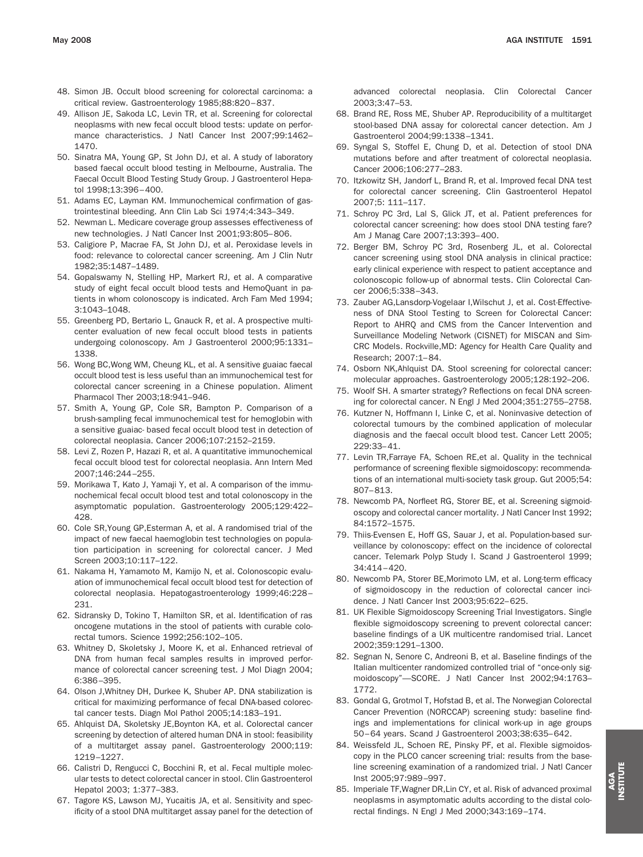- <span id="page-21-0"></span>48. Simon JB. Occult blood screening for colorectal carcinoma: a critical review. Gastroenterology 1985;88:820 –837.
- 49. Allison JE, Sakoda LC, Levin TR, et al. Screening for colorectal neoplasms with new fecal occult blood tests: update on performance characteristics. J Natl Cancer Inst 2007;99:1462– 1470.
- 50. Sinatra MA, Young GP, St John DJ, et al. A study of laboratory based faecal occult blood testing in Melbourne, Australia. The Faecal Occult Blood Testing Study Group. J Gastroenterol Hepatol 1998;13:396 –400.
- 51. Adams EC, Layman KM. Immunochemical confirmation of gastrointestinal bleeding. Ann Clin Lab Sci 1974;4:343–349.
- 52. Newman L. Medicare coverage group assesses effectiveness of new technologies. J Natl Cancer Inst 2001;93:805–806.
- 53. Caligiore P, Macrae FA, St John DJ, et al. Peroxidase levels in food: relevance to colorectal cancer screening. Am J Clin Nutr 1982;35:1487–1489.
- 54. Gopalswamy N, Stelling HP, Markert RJ, et al. A comparative study of eight fecal occult blood tests and HemoQuant in patients in whom colonoscopy is indicated. Arch Fam Med 1994; 3:1043–1048.
- 55. Greenberg PD, Bertario L, Gnauck R, et al. A prospective multicenter evaluation of new fecal occult blood tests in patients undergoing colonoscopy. Am J Gastroenterol 2000;95:1331– 1338.
- 56. Wong BC,Wong WM, Cheung KL, et al. A sensitive guaiac faecal occult blood test is less useful than an immunochemical test for colorectal cancer screening in a Chinese population. Aliment Pharmacol Ther 2003;18:941–946.
- 57. Smith A, Young GP, Cole SR, Bampton P. Comparison of a brush-sampling fecal immunochemical test for hemoglobin with a sensitive guaiac- based fecal occult blood test in detection of colorectal neoplasia. Cancer 2006;107:2152–2159.
- 58. Levi Z, Rozen P, Hazazi R, et al. A quantitative immunochemical fecal occult blood test for colorectal neoplasia. Ann Intern Med 2007;146:244 –255.
- 59. Morikawa T, Kato J, Yamaji Y, et al. A comparison of the immunochemical fecal occult blood test and total colonoscopy in the asymptomatic population. Gastroenterology 2005;129:422– 428.
- 60. Cole SR,Young GP,Esterman A, et al. A randomised trial of the impact of new faecal haemoglobin test technologies on population participation in screening for colorectal cancer. J Med Screen 2003;10:117–122.
- 61. Nakama H, Yamamoto M, Kamijo N, et al. Colonoscopic evaluation of immunochemical fecal occult blood test for detection of colorectal neoplasia. Hepatogastroenterology 1999;46:228 – 231.
- 62. Sidransky D, Tokino T, Hamilton SR, et al. Identification of ras oncogene mutations in the stool of patients with curable colorectal tumors. Science 1992;256:102–105.
- 63. Whitney D, Skoletsky J, Moore K, et al. Enhanced retrieval of DNA from human fecal samples results in improved performance of colorectal cancer screening test. J Mol Diagn 2004; 6:386 –395.
- 64. Olson J,Whitney DH, Durkee K, Shuber AP. DNA stabilization is critical for maximizing performance of fecal DNA-based colorectal cancer tests. Diagn Mol Pathol 2005;14:183–191.
- 65. Ahlquist DA, Skoletsky JE,Boynton KA, et al. Colorectal cancer screening by detection of altered human DNA in stool: feasibility of a multitarget assay panel. Gastroenterology 2000;119: 1219 –1227.
- 66. Calistri D, Rengucci C, Bocchini R, et al. Fecal multiple molecular tests to detect colorectal cancer in stool. Clin Gastroenterol Hepatol 2003; 1:377–383.
- 67. Tagore KS, Lawson MJ, Yucaitis JA, et al. Sensitivity and specificity of a stool DNA multitarget assay panel for the detection of

advanced colorectal neoplasia. Clin Colorectal Cancer 2003;3:47–53.

- 68. Brand RE, Ross ME, Shuber AP. Reproducibility of a multitarget stool-based DNA assay for colorectal cancer detection. Am J Gastroenterol 2004;99:1338 –1341.
- 69. Syngal S, Stoffel E, Chung D, et al. Detection of stool DNA mutations before and after treatment of colorectal neoplasia. Cancer 2006;106:277–283.
- 70. Itzkowitz SH, Jandorf L, Brand R, et al. Improved fecal DNA test for colorectal cancer screening. Clin Gastroenterol Hepatol 2007;5: 111–117.
- 71. Schroy PC 3rd, Lal S, Glick JT, et al. Patient preferences for colorectal cancer screening: how does stool DNA testing fare? Am J Manag Care 2007;13:393–400.
- 72. Berger BM, Schroy PC 3rd, Rosenberg JL, et al. Colorectal cancer screening using stool DNA analysis in clinical practice: early clinical experience with respect to patient acceptance and colonoscopic follow-up of abnormal tests. Clin Colorectal Cancer 2006;5:338 –343.
- 73. Zauber AG,Lansdorp-Vogelaar I,Wilschut J, et al. Cost-Effectiveness of DNA Stool Testing to Screen for Colorectal Cancer: Report to AHRQ and CMS from the Cancer Intervention and Surveillance Modeling Network (CISNET) for MISCAN and Sim-CRC Models. Rockville,MD: Agency for Health Care Quality and Research; 2007:1–84.
- 74. Osborn NK,Ahlquist DA. Stool screening for colorectal cancer: molecular approaches. Gastroenterology 2005;128:192–206.
- 75. Woolf SH. A smarter strategy? Reflections on fecal DNA screening for colorectal cancer. N Engl J Med 2004;351:2755–2758.
- 76. Kutzner N, Hoffmann I, Linke C, et al. Noninvasive detection of colorectal tumours by the combined application of molecular diagnosis and the faecal occult blood test. Cancer Lett 2005; 229:33–41.
- 77. Levin TR,Farraye FA, Schoen RE,et al. Quality in the technical performance of screening flexible sigmoidoscopy: recommendations of an international multi-society task group. Gut 2005;54: 807–813.
- 78. Newcomb PA, Norfleet RG, Storer BE, et al. Screening sigmoidoscopy and colorectal cancer mortality. J Natl Cancer Inst 1992; 84:1572–1575.
- 79. Thiis-Evensen E, Hoff GS, Sauar J, et al. Population-based surveillance by colonoscopy: effect on the incidence of colorectal cancer. Telemark Polyp Study I. Scand J Gastroenterol 1999; 34:414 –420.
- 80. Newcomb PA, Storer BE,Morimoto LM, et al. Long-term efficacy of sigmoidoscopy in the reduction of colorectal cancer incidence. J Natl Cancer Inst 2003;95:622–625.
- 81. UK Flexible Sigmoidoscopy Screening Trial Investigators. Single flexible sigmoidoscopy screening to prevent colorectal cancer: baseline findings of a UK multicentre randomised trial. Lancet 2002;359:1291–1300.
- 82. Segnan N, Senore C, Andreoni B, et al. Baseline findings of the Italian multicenter randomized controlled trial of "once-only sigmoidoscopy"—SCORE. J Natl Cancer Inst 2002;94:1763– 1772.
- 83. Gondal G, Grotmol T, Hofstad B, et al. The Norwegian Colorectal Cancer Prevention (NORCCAP) screening study: baseline findings and implementations for clinical work-up in age groups 50 –64 years. Scand J Gastroenterol 2003;38:635–642.
- 84. Weissfeld JL, Schoen RE, Pinsky PF, et al. Flexible sigmoidoscopy in the PLCO cancer screening trial: results from the baseline screening examination of a randomized trial. J Natl Cancer Inst 2005;97:989 –997.
- 85. Imperiale TF,Wagner DR,Lin CY, et al. Risk of advanced proximal neoplasms in asymptomatic adults according to the distal colorectal findings. N Engl J Med 2000;343:169 –174.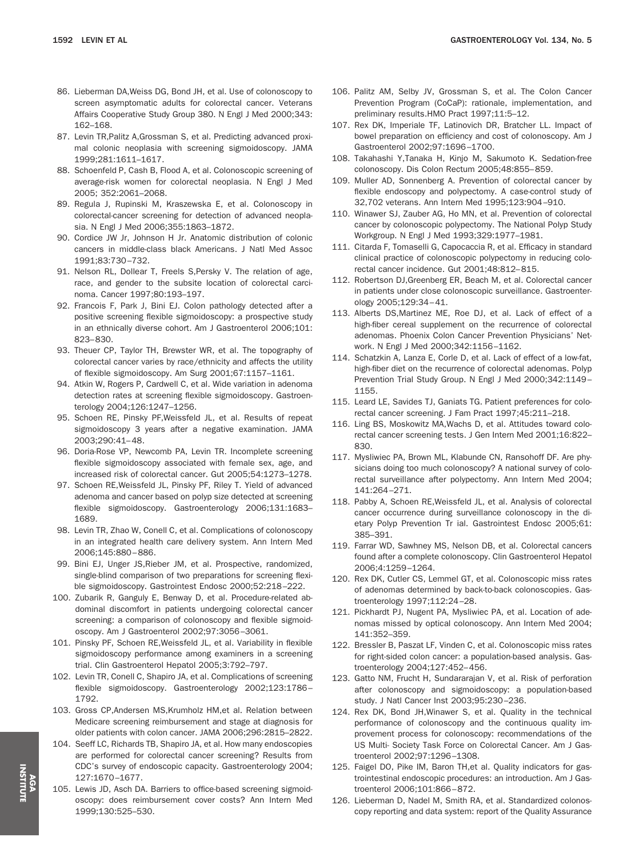- <span id="page-22-0"></span>86. Lieberman DA,Weiss DG, Bond JH, et al. Use of colonoscopy to screen asymptomatic adults for colorectal cancer. Veterans Affairs Cooperative Study Group 380. N Engl J Med 2000;343: 162–168.
- 87. Levin TR,Palitz A,Grossman S, et al. Predicting advanced proximal colonic neoplasia with screening sigmoidoscopy. JAMA 1999;281:1611–1617.
- 88. Schoenfeld P, Cash B, Flood A, et al. Colonoscopic screening of average-risk women for colorectal neoplasia. N Engl J Med 2005; 352:2061–2068.
- 89. Regula J, Rupinski M, Kraszewska E, et al. Colonoscopy in colorectal-cancer screening for detection of advanced neoplasia. N Engl J Med 2006;355:1863–1872.
- 90. Cordice JW Jr, Johnson H Jr. Anatomic distribution of colonic cancers in middle-class black Americans. J Natl Med Assoc 1991;83:730 –732.
- 91. Nelson RL, Dollear T, Freels S,Persky V. The relation of age, race, and gender to the subsite location of colorectal carcinoma. Cancer 1997;80:193–197.
- 92. Francois F, Park J, Bini EJ. Colon pathology detected after a positive screening flexible sigmoidoscopy: a prospective study in an ethnically diverse cohort. Am J Gastroenterol 2006;101: 823–830.
- 93. Theuer CP, Taylor TH, Brewster WR, et al. The topography of colorectal cancer varies by race/ethnicity and affects the utility of flexible sigmoidoscopy. Am Surg 2001;67:1157–1161.
- 94. Atkin W, Rogers P, Cardwell C, et al. Wide variation in adenoma detection rates at screening flexible sigmoidoscopy. Gastroenterology 2004;126:1247–1256.
- 95. Schoen RE, Pinsky PF,Weissfeld JL, et al. Results of repeat sigmoidoscopy 3 years after a negative examination. JAMA 2003;290:41–48.
- 96. Doria-Rose VP, Newcomb PA, Levin TR. Incomplete screening flexible sigmoidoscopy associated with female sex, age, and increased risk of colorectal cancer. Gut 2005;54:1273–1278.
- 97. Schoen RE,Weissfeld JL, Pinsky PF, Riley T. Yield of advanced adenoma and cancer based on polyp size detected at screening flexible sigmoidoscopy. Gastroenterology 2006;131:1683– 1689.
- 98. Levin TR, Zhao W, Conell C, et al. Complications of colonoscopy in an integrated health care delivery system. Ann Intern Med 2006;145:880 –886.
- 99. Bini EJ, Unger JS,Rieber JM, et al. Prospective, randomized, single-blind comparison of two preparations for screening flexible sigmoidoscopy. Gastrointest Endosc 2000;52:218 –222.
- 100. Zubarik R, Ganguly E, Benway D, et al. Procedure-related abdominal discomfort in patients undergoing colorectal cancer screening: a comparison of colonoscopy and flexible sigmoidoscopy. Am J Gastroenterol 2002;97:3056 –3061.
- 101. Pinsky PF, Schoen RE,Weissfeld JL, et al. Variability in flexible sigmoidoscopy performance among examiners in a screening trial. Clin Gastroenterol Hepatol 2005;3:792–797.
- 102. Levin TR, Conell C, Shapiro JA, et al. Complications of screening flexible sigmoidoscopy. Gastroenterology 2002;123:1786 – 1792.
- 103. Gross CP,Andersen MS,Krumholz HM,et al. Relation between Medicare screening reimbursement and stage at diagnosis for older patients with colon cancer. JAMA 2006;296:2815–2822.
- 104. Seeff LC, Richards TB, Shapiro JA, et al. How many endoscopies are performed for colorectal cancer screening? Results from CDC's survey of endoscopic capacity. Gastroenterology 2004; 127:1670 –1677.
- 105. Lewis JD, Asch DA. Barriers to office-based screening sigmoidoscopy: does reimbursement cover costs? Ann Intern Med 1999;130:525–530.
- 106. Palitz AM, Selby JV, Grossman S, et al. The Colon Cancer Prevention Program (CoCaP): rationale, implementation, and preliminary results.HMO Pract 1997;11:5–12.
- 107. Rex DK, Imperiale TF, Latinovich DR, Bratcher LL. Impact of bowel preparation on efficiency and cost of colonoscopy. Am J Gastroenterol 2002;97:1696 –1700.
- 108. Takahashi Y,Tanaka H, Kinjo M, Sakumoto K. Sedation-free colonoscopy. Dis Colon Rectum 2005;48:855–859.
- 109. Muller AD, Sonnenberg A. Prevention of colorectal cancer by flexible endoscopy and polypectomy. A case-control study of 32,702 veterans. Ann Intern Med 1995;123:904 –910.
- 110. Winawer SJ, Zauber AG, Ho MN, et al. Prevention of colorectal cancer by colonoscopic polypectomy. The National Polyp Study Workgroup. N Engl J Med 1993;329:1977–1981.
- 111. Citarda F, Tomaselli G, Capocaccia R, et al. Efficacy in standard clinical practice of colonoscopic polypectomy in reducing colorectal cancer incidence. Gut 2001;48:812–815.
- 112. Robertson DJ,Greenberg ER, Beach M, et al. Colorectal cancer in patients under close colonoscopic surveillance. Gastroenterology 2005;129:34 –41.
- 113. Alberts DS,Martinez ME, Roe DJ, et al. Lack of effect of a high-fiber cereal supplement on the recurrence of colorectal adenomas. Phoenix Colon Cancer Prevention Physicians' Network. N Engl J Med 2000;342:1156 –1162.
- 114. Schatzkin A, Lanza E, Corle D, et al. Lack of effect of a low-fat, high-fiber diet on the recurrence of colorectal adenomas. Polyp Prevention Trial Study Group. N Engl J Med 2000;342:1149 – 1155.
- 115. Leard LE, Savides TJ, Ganiats TG. Patient preferences for colorectal cancer screening. J Fam Pract 1997;45:211–218.
- 116. Ling BS, Moskowitz MA,Wachs D, et al. Attitudes toward colorectal cancer screening tests. J Gen Intern Med 2001;16:822– 830.
- 117. Mysliwiec PA, Brown ML, Klabunde CN, Ransohoff DF. Are physicians doing too much colonoscopy? A national survey of colorectal surveillance after polypectomy. Ann Intern Med 2004; 141:264 –271.
- 118. Pabby A, Schoen RE,Weissfeld JL, et al. Analysis of colorectal cancer occurrence during surveillance colonoscopy in the dietary Polyp Prevention Tr ial. Gastrointest Endosc 2005;61: 385–391.
- 119. Farrar WD, Sawhney MS, Nelson DB, et al. Colorectal cancers found after a complete colonoscopy. Clin Gastroenterol Hepatol 2006;4:1259 –1264.
- 120. Rex DK, Cutler CS, Lemmel GT, et al. Colonoscopic miss rates of adenomas determined by back-to-back colonoscopies. Gastroenterology 1997;112:24 –28.
- 121. Pickhardt PJ, Nugent PA, Mysliwiec PA, et al. Location of adenomas missed by optical colonoscopy. Ann Intern Med 2004; 141:352–359.
- 122. Bressler B, Paszat LF, Vinden C, et al. Colonoscopic miss rates for right-sided colon cancer: a population-based analysis. Gastroenterology 2004;127:452–456.
- 123. Gatto NM, Frucht H, Sundararajan V, et al. Risk of perforation after colonoscopy and sigmoidoscopy: a population-based study. J Natl Cancer Inst 2003;95:230 –236.
- 124. Rex DK, Bond JH,Winawer S, et al. Quality in the technical performance of colonoscopy and the continuous quality improvement process for colonoscopy: recommendations of the US Multi- Society Task Force on Colorectal Cancer. Am J Gastroenterol 2002;97:1296 –1308.
- 125. Faigel DO, Pike IM, Baron TH,et al. Quality indicators for gastrointestinal endoscopic procedures: an introduction. Am J Gastroenterol 2006;101:866 –872.
- 126. Lieberman D, Nadel M, Smith RA, et al. Standardized colonoscopy reporting and data system: report of the Quality Assurance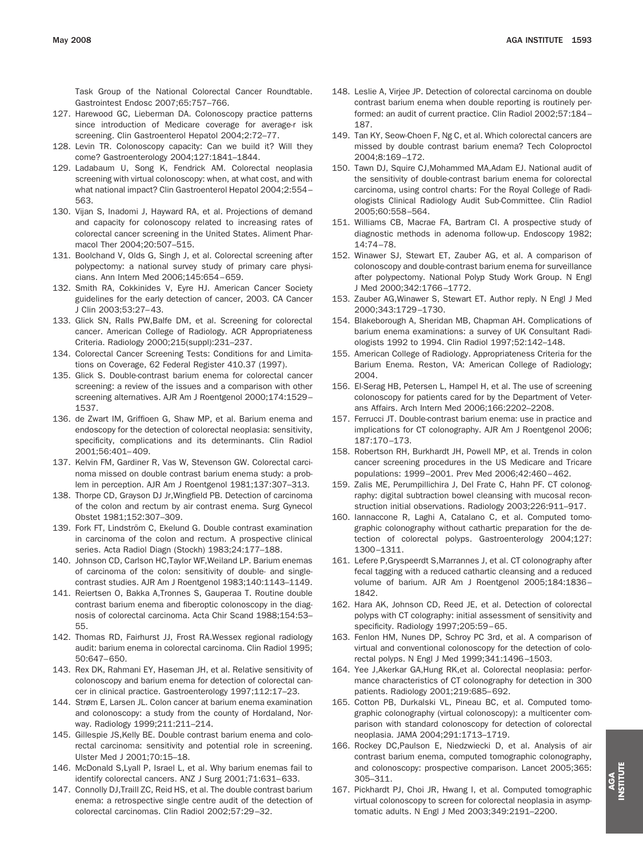<span id="page-23-0"></span>Task Group of the National Colorectal Cancer Roundtable. Gastrointest Endosc 2007;65:757–766.

- 127. Harewood GC, Lieberman DA. Colonoscopy practice patterns since introduction of Medicare coverage for average-r isk screening. Clin Gastroenterol Hepatol 2004;2:72–77.
- 128. Levin TR. Colonoscopy capacity: Can we build it? Will they come? Gastroenterology 2004;127:1841–1844.
- 129. Ladabaum U, Song K, Fendrick AM. Colorectal neoplasia screening with virtual colonoscopy: when, at what cost, and with what national impact? Clin Gastroenterol Hepatol 2004;2:554 – 563.
- 130. Vijan S, Inadomi J, Hayward RA, et al. Projections of demand and capacity for colonoscopy related to increasing rates of colorectal cancer screening in the United States. Aliment Pharmacol Ther 2004;20:507–515.
- 131. Boolchand V, Olds G, Singh J, et al. Colorectal screening after polypectomy: a national survey study of primary care physicians. Ann Intern Med 2006;145:654 –659.
- 132. Smith RA, Cokkinides V, Eyre HJ. American Cancer Society guidelines for the early detection of cancer, 2003. CA Cancer J Clin 2003;53:27–43.
- 133. Glick SN, Ralls PW,Balfe DM, et al. Screening for colorectal cancer. American College of Radiology. ACR Appropriateness Criteria. Radiology 2000;215(suppl):231–237.
- 134. Colorectal Cancer Screening Tests: Conditions for and Limitations on Coverage, 62 Federal Register 410.37 (1997).
- 135. Glick S. Double-contrast barium enema for colorectal cancer screening: a review of the issues and a comparison with other screening alternatives. AJR Am J Roentgenol 2000;174:1529-1537.
- 136. de Zwart IM, Griffioen G, Shaw MP, et al. Barium enema and endoscopy for the detection of colorectal neoplasia: sensitivity, specificity, complications and its determinants. Clin Radiol 2001;56:401–409.
- 137. Kelvin FM, Gardiner R, Vas W, Stevenson GW. Colorectal carcinoma missed on double contrast barium enema study: a problem in perception. AJR Am J Roentgenol 1981;137:307–313.
- 138. Thorpe CD, Grayson DJ Jr,Wingfield PB. Detection of carcinoma of the colon and rectum by air contrast enema. Surg Gynecol Obstet 1981;152:307–309.
- 139. Fork FT, Lindström C, Ekelund G. Double contrast examination in carcinoma of the colon and rectum. A prospective clinical series. Acta Radiol Diagn (Stockh) 1983;24:177–188.
- 140. Johnson CD, Carlson HC,Taylor WF,Weiland LP. Barium enemas of carcinoma of the colon: sensitivity of double- and singlecontrast studies. AJR Am J Roentgenol 1983;140:1143–1149.
- 141. Reiertsen O, Bakka A,Tronnes S, Gauperaa T. Routine double contrast barium enema and fiberoptic colonoscopy in the diagnosis of colorectal carcinoma. Acta Chir Scand 1988;154:53– 55.
- 142. Thomas RD, Fairhurst JJ, Frost RA.Wessex regional radiology audit: barium enema in colorectal carcinoma. Clin Radiol 1995; 50:647–650.
- 143. Rex DK, Rahmani EY, Haseman JH, et al. Relative sensitivity of colonoscopy and barium enema for detection of colorectal cancer in clinical practice. Gastroenterology 1997;112:17–23.
- 144. Strøm E, Larsen JL. Colon cancer at barium enema examination and colonoscopy: a study from the county of Hordaland, Norway. Radiology 1999;211:211–214.
- 145. Gillespie JS, Kelly BE. Double contrast barium enema and colorectal carcinoma: sensitivity and potential role in screening. Ulster Med J 2001;70:15–18.
- 146. McDonald S,Lyall P, Israel L, et al. Why barium enemas fail to identify colorectal cancers. ANZ J Surg 2001;71:631–633.
- 147. Connolly DJ,Traill ZC, Reid HS, et al. The double contrast barium enema: a retrospective single centre audit of the detection of colorectal carcinomas. Clin Radiol 2002;57:29 –32.
- 148. Leslie A, Virjee JP. Detection of colorectal carcinoma on double contrast barium enema when double reporting is routinely performed: an audit of current practice. Clin Radiol 2002;57:184 – 187.
- 149. Tan KY, Seow-Choen F, Ng C, et al. Which colorectal cancers are missed by double contrast barium enema? Tech Coloproctol 2004;8:169 –172.
- 150. Tawn DJ, Squire CJ,Mohammed MA,Adam EJ. National audit of the sensitivity of double-contrast barium enema for colorectal carcinoma, using control charts: For the Royal College of Radiologists Clinical Radiology Audit Sub-Committee. Clin Radiol 2005;60:558 –564.
- 151. Williams CB, Macrae FA, Bartram CI. A prospective study of diagnostic methods in adenoma follow-up. Endoscopy 1982; 14:74 –78.
- 152. Winawer SJ, Stewart ET, Zauber AG, et al. A comparison of colonoscopy and double-contrast barium enema for surveillance after polypectomy. National Polyp Study Work Group. N Engl J Med 2000;342:1766 –1772.
- 153. Zauber AG,Winawer S, Stewart ET. Author reply. N Engl J Med 2000;343:1729 –1730.
- 154. Blakeborough A, Sheridan MB, Chapman AH. Complications of barium enema examinations: a survey of UK Consultant Radiologists 1992 to 1994. Clin Radiol 1997;52:142–148.
- 155. American College of Radiology. Appropriateness Criteria for the Barium Enema. Reston, VA: American College of Radiology; 2004.
- 156. El-Serag HB, Petersen L, Hampel H, et al. The use of screening colonoscopy for patients cared for by the Department of Veterans Affairs. Arch Intern Med 2006;166:2202–2208.
- 157. Ferrucci JT. Double-contrast barium enema: use in practice and implications for CT colonography. AJR Am J Roentgenol 2006; 187:170 –173.
- 158. Robertson RH, Burkhardt JH, Powell MP, et al. Trends in colon cancer screening procedures in the US Medicare and Tricare populations: 1999 –2001. Prev Med 2006;42:460 –462.
- 159. Zalis ME, Perumpillichira J, Del Frate C, Hahn PF. CT colonography: digital subtraction bowel cleansing with mucosal reconstruction initial observations. Radiology 2003;226:911–917.
- 160. Iannaccone R, Laghi A, Catalano C, et al. Computed tomographic colonography without cathartic preparation for the detection of colorectal polyps. Gastroenterology 2004;127: 1300 –1311.
- 161. Lefere P,Gryspeerdt S,Marrannes J, et al. CT colonography after fecal tagging with a reduced cathartic cleansing and a reduced volume of barium. AJR Am J Roentgenol 2005;184:1836 – 1842.
- 162. Hara AK, Johnson CD, Reed JE, et al. Detection of colorectal polyps with CT colography: initial assessment of sensitivity and specificity. Radiology 1997;205:59 –65.
- 163. Fenlon HM, Nunes DP, Schroy PC 3rd, et al. A comparison of virtual and conventional colonoscopy for the detection of colorectal polyps. N Engl J Med 1999;341:1496 –1503.
- 164. Yee J,Akerkar GA,Hung RK,et al. Colorectal neoplasia: performance characteristics of CT colonography for detection in 300 patients. Radiology 2001;219:685–692.
- 165. Cotton PB, Durkalski VL, Pineau BC, et al. Computed tomographic colonography (virtual colonoscopy): a multicenter comparison with standard colonoscopy for detection of colorectal neoplasia. JAMA 2004;291:1713–1719.
- 166. Rockey DC,Paulson E, Niedzwiecki D, et al. Analysis of air contrast barium enema, computed tomographic colonography, and colonoscopy: prospective comparison. Lancet 2005;365: 305–311.
- 167. Pickhardt PJ, Choi JR, Hwang I, et al. Computed tomographic virtual colonoscopy to screen for colorectal neoplasia in asymptomatic adults. N Engl J Med 2003;349:2191–2200.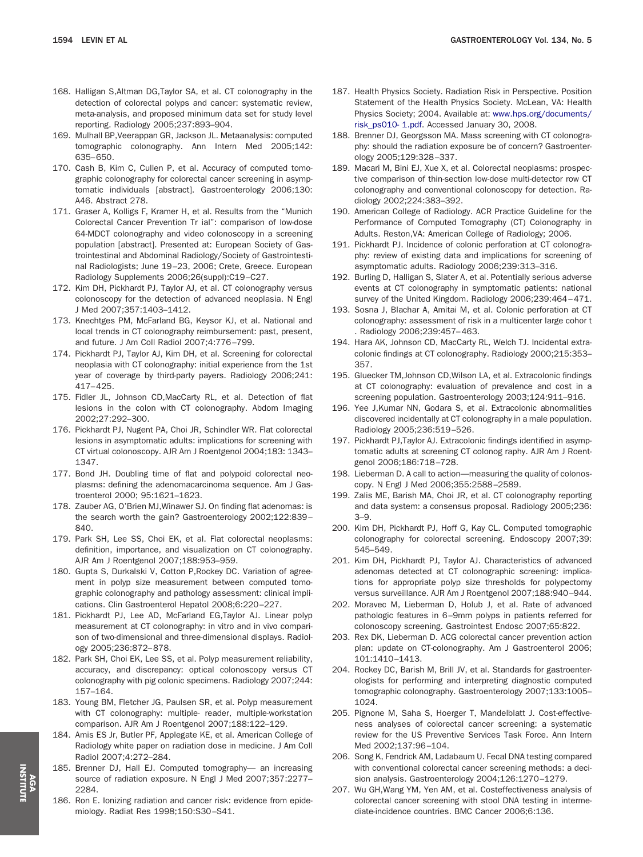- <span id="page-24-0"></span>168. Halligan S,Altman DG,Taylor SA, et al. CT colonography in the detection of colorectal polyps and cancer: systematic review, meta-analysis, and proposed minimum data set for study level reporting. Radiology 2005;237:893–904.
- 169. Mulhall BP,Veerappan GR, Jackson JL. Metaanalysis: computed tomographic colonography. Ann Intern Med 2005;142: 635– 650.
- 170. Cash B, Kim C, Cullen P, et al. Accuracy of computed tomographic colonography for colorectal cancer screening in asymptomatic individuals [abstract]. Gastroenterology 2006;130: A46. Abstract 278.
- 171. Graser A, Kolligs F, Kramer H, et al. Results from the "Munich Colorectal Cancer Prevention Tr ial": comparison of low-dose 64-MDCT colonography and video colonoscopy in a screening population [abstract]. Presented at: European Society of Gastrointestinal and Abdominal Radiology/Society of Gastrointestinal Radiologists; June 19 –23, 2006; Crete, Greece. European Radiology Supplements 2006;26(suppl):C19 –C27.
- 172. Kim DH, Pickhardt PJ, Taylor AJ, et al. CT colonography versus colonoscopy for the detection of advanced neoplasia. N Engl J Med 2007;357:1403–1412.
- 173. Knechtges PM, McFarland BG, Keysor KJ, et al. National and local trends in CT colonography reimbursement: past, present, and future. J Am Coll Radiol 2007;4:776 –799.
- 174. Pickhardt PJ, Taylor AJ, Kim DH, et al. Screening for colorectal neoplasia with CT colonography: initial experience from the 1st year of coverage by third-party payers. Radiology 2006;241: 417– 425.
- 175. Fidler JL, Johnson CD,MacCarty RL, et al. Detection of flat lesions in the colon with CT colonography. Abdom Imaging 2002;27:292–300.
- 176. Pickhardt PJ, Nugent PA, Choi JR, Schindler WR. Flat colorectal lesions in asymptomatic adults: implications for screening with CT virtual colonoscopy. AJR Am J Roentgenol 2004;183: 1343– 1347.
- 177. Bond JH. Doubling time of flat and polypoid colorectal neoplasms: defining the adenomacarcinoma sequence. Am J Gastroenterol 2000; 95:1621–1623.
- 178. Zauber AG, O'Brien MJ,Winawer SJ. On finding flat adenomas: is the search worth the gain? Gastroenterology 2002;122:839 – 840.
- 179. Park SH, Lee SS, Choi EK, et al. Flat colorectal neoplasms: definition, importance, and visualization on CT colonography. AJR Am J Roentgenol 2007;188:953–959.
- 180. Gupta S, Durkalski V, Cotton P,Rockey DC. Variation of agreement in polyp size measurement between computed tomographic colonography and pathology assessment: clinical implications. Clin Gastroenterol Hepatol 2008;6:220 –227.
- 181. Pickhardt PJ, Lee AD, McFarland EG,Taylor AJ. Linear polyp measurement at CT colonography: in vitro and in vivo comparison of two-dimensional and three-dimensional displays. Radiology 2005;236:872– 878.
- 182. Park SH, Choi EK, Lee SS, et al. Polyp measurement reliability, accuracy, and discrepancy: optical colonoscopy versus CT colonography with pig colonic specimens. Radiology 2007;244: 157–164.
- 183. Young BM, Fletcher JG, Paulsen SR, et al. Polyp measurement with CT colonography: multiple- reader, multiple-workstation comparison. AJR Am J Roentgenol 2007;188:122–129.
- 184. Amis ES Jr, Butler PF, Applegate KE, et al. American College of Radiology white paper on radiation dose in medicine. J Am Coll Radiol 2007;4:272–284.
- 185. Brenner DJ, Hall EJ. Computed tomography— an increasing source of radiation exposure. N Engl J Med 2007;357:2277– 2284.
- 186. Ron E. Ionizing radiation and cancer risk: evidence from epidemiology. Radiat Res 1998;150:S30 –S41.
- 187. Health Physics Society. Radiation Risk in Perspective. Position Statement of the Health Physics Society. McLean, VA: Health Physics Society; 2004. Available at: [www.hps.org/documents/](www.hps.org/documents/risk_ps010-1.pdf) [risk\\_ps010-](www.hps.org/documents/risk_ps010-1.pdf) 1.pdf. Accessed January 30, 2008.
- 188. Brenner DJ, Georgsson MA. Mass screening with CT colonography: should the radiation exposure be of concern? Gastroenterology 2005;129:328 –337.
- 189. Macari M, Bini EJ, Xue X, et al. Colorectal neoplasms: prospective comparison of thin-section low-dose multi-detector row CT colonography and conventional colonoscopy for detection. Radiology 2002;224:383–392.
- 190. American College of Radiology. ACR Practice Guideline for the Performance of Computed Tomography (CT) Colonography in Adults. Reston,VA: American College of Radiology; 2006.
- 191. Pickhardt PJ. Incidence of colonic perforation at CT colonography: review of existing data and implications for screening of asymptomatic adults. Radiology 2006;239:313–316.
- 192. Burling D, Halligan S, Slater A, et al. Potentially serious adverse events at CT colonography in symptomatic patients: national survey of the United Kingdom. Radiology 2006;239:464 – 471.
- 193. Sosna J, Blachar A, Amitai M, et al. Colonic perforation at CT colonography: assessment of risk in a multicenter large cohor t . Radiology 2006;239:457– 463.
- 194. Hara AK, Johnson CD, MacCarty RL, Welch TJ. Incidental extracolonic findings at CT colonography. Radiology 2000;215:353– 357.
- 195. Gluecker TM,Johnson CD,Wilson LA, et al. Extracolonic findings at CT colonography: evaluation of prevalence and cost in a screening population. Gastroenterology 2003;124:911–916.
- 196. Yee J,Kumar NN, Godara S, et al. Extracolonic abnormalities discovered incidentally at CT colonography in a male population. Radiology 2005;236:519 –526.
- 197. Pickhardt PJ,Taylor AJ. Extracolonic findings identified in asymptomatic adults at screening CT colonog raphy. AJR Am J Roentgenol 2006;186:718 –728.
- 198. Lieberman D. A call to action—measuring the quality of colonoscopy. N Engl J Med 2006;355:2588 –2589.
- 199. Zalis ME, Barish MA, Choi JR, et al. CT colonography reporting and data system: a consensus proposal. Radiology 2005;236: 3–9.
- 200. Kim DH, Pickhardt PJ, Hoff G, Kay CL. Computed tomographic colonography for colorectal screening. Endoscopy 2007;39: 545–549.
- 201. Kim DH, Pickhardt PJ, Taylor AJ. Characteristics of advanced adenomas detected at CT colonographic screening: implications for appropriate polyp size thresholds for polypectomy versus surveillance. AJR Am J Roentgenol 2007;188:940 –944.
- 202. Moravec M, Lieberman D, Holub J, et al. Rate of advanced pathologic features in 6 –9mm polyps in patients referred for colonoscopy screening. Gastrointest Endosc 2007;65:822.
- 203. Rex DK, Lieberman D. ACG colorectal cancer prevention action plan: update on CT-colonography. Am J Gastroenterol 2006; 101:1410 –1413.
- 204. Rockey DC, Barish M, Brill JV, et al. Standards for gastroenterologists for performing and interpreting diagnostic computed tomographic colonography. Gastroenterology 2007;133:1005– 1024.
- 205. Pignone M, Saha S, Hoerger T, Mandelblatt J. Cost-effectiveness analyses of colorectal cancer screening: a systematic review for the US Preventive Services Task Force. Ann Intern Med 2002:137:96-104.
- 206. Song K, Fendrick AM, Ladabaum U. Fecal DNA testing compared with conventional colorectal cancer screening methods: a decision analysis. Gastroenterology 2004;126:1270 –1279.
- 207. Wu GH,Wang YM, Yen AM, et al. Costeffectiveness analysis of colorectal cancer screening with stool DNA testing in intermediate-incidence countries. BMC Cancer 2006;6:136.